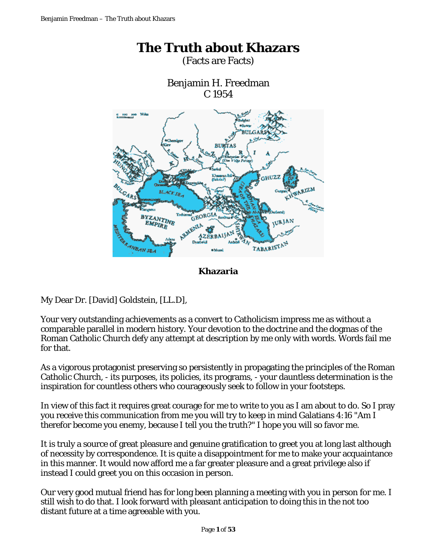

# **Khazaria**

My Dear Dr. [David] Goldstein, [LL.D],

Your very outstanding achievements as a convert to Catholicism impress me as without a comparable parallel in modern history. Your devotion to the doctrine and the dogmas of the Roman Catholic Church defy any attempt at description by me only with words. Words fail me for that.

As a vigorous protagonist preserving so persistently in propagating the principles of the Roman Catholic Church, - its purposes, its policies, its programs, - your dauntless determination is the inspiration for countless others who courageously seek to follow in your footsteps.

In view of this fact it requires great courage for me to write to you as I am about to do. So I pray you receive this communication from me you will try to keep in mind Galatians 4:16 "Am I therefor become you enemy, because I tell you the truth?" I hope you will so favor me.

It is truly a source of great pleasure and genuine gratification to greet you at long last although of necessity by correspondence. It is quite a disappointment for me to make your acquaintance in this manner. It would now afford me a far greater pleasure and a great privilege also if instead I could greet you on this occasion in person.

Our very good mutual friend has for long been planning a meeting with you in person for me. I still wish to do that. I look forward with pleasant anticipation to doing this in the not too distant future at a time agreeable with you.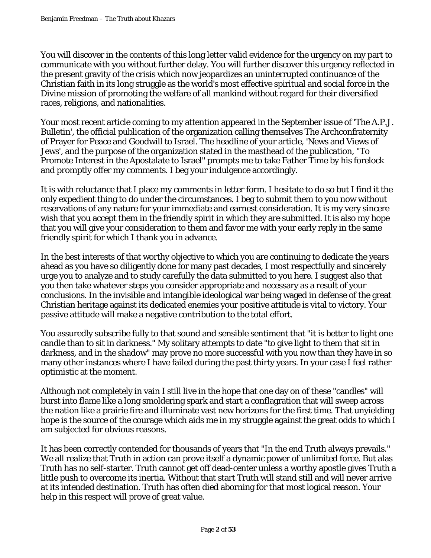You will discover in the contents of this long letter valid evidence for the urgency on my part to communicate with you without further delay. You will further discover this urgency reflected in the present gravity of the crisis which now jeopardizes an uninterrupted continuance of the Christian faith in its long struggle as the world's most effective spiritual and social force in the Divine mission of promoting the welfare of all mankind without regard for their diversified races, religions, and nationalities.

Your most recent article coming to my attention appeared in the September issue of 'The A.P.J. Bulletin', the official publication of the organization calling themselves The Archconfraternity of Prayer for Peace and Goodwill to Israel. The headline of your article, 'News and Views of Jews', and the purpose of the organization stated in the masthead of the publication, "To Promote Interest in the Apostalate to Israel" prompts me to take Father Time by his forelock and promptly offer my comments. I beg your indulgence accordingly.

It is with reluctance that I place my comments in letter form. I hesitate to do so but I find it the only expedient thing to do under the circumstances. I beg to submit them to you now without reservations of any nature for your immediate and earnest consideration. It is my very sincere wish that you accept them in the friendly spirit in which they are submitted. It is also my hope that you will give your consideration to them and favor me with your early reply in the same friendly spirit for which I thank you in advance.

In the best interests of that worthy objective to which you are continuing to dedicate the years ahead as you have so diligently done for many past decades, I most respectfully and sincerely urge you to analyze and to study carefully the data submitted to you here. I suggest also that you then take whatever steps you consider appropriate and necessary as a result of your conclusions. In the invisible and intangible ideological war being waged in defense of the great Christian heritage against its dedicated enemies your positive attitude is vital to victory. Your passive attitude will make a negative contribution to the total effort.

You assuredly subscribe fully to that sound and sensible sentiment that "it is better to light one candle than to sit in darkness." My solitary attempts to date "to give light to them that sit in darkness, and in the shadow" may prove no more successful with you now than they have in so many other instances where I have failed during the past thirty years. In your case I feel rather optimistic at the moment.

Although not completely in vain I still live in the hope that one day on of these "candles" will burst into flame like a long smoldering spark and start a conflagration that will sweep across the nation like a prairie fire and illuminate vast new horizons for the first time. That unyielding hope is the source of the courage which aids me in my struggle against the great odds to which I am subjected for obvious reasons.

It has been correctly contended for thousands of years that "In the end Truth always prevails." We all realize that Truth in action can prove itself a dynamic power of unlimited force. But alas Truth has no self-starter. Truth cannot get off dead-center unless a worthy apostle gives Truth a little push to overcome its inertia. Without that start Truth will stand still and will never arrive at its intended destination. Truth has often died aborning for that most logical reason. Your help in this respect will prove of great value.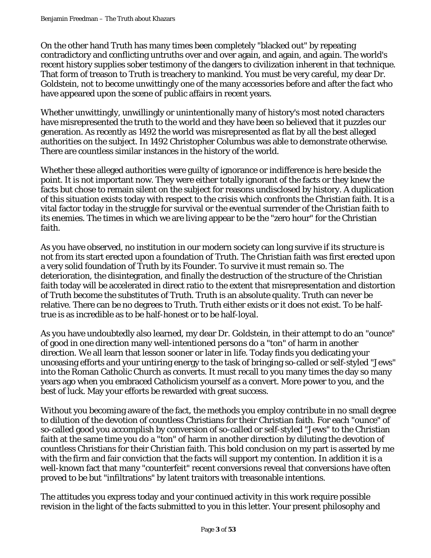On the other hand Truth has many times been completely "blacked out" by repeating contradictory and conflicting untruths over and over again, and again, and again. The world's recent history supplies sober testimony of the dangers to civilization inherent in that technique. That form of treason to Truth is treachery to mankind. You must be very careful, my dear Dr. Goldstein, not to become unwittingly one of the many accessories before and after the fact who have appeared upon the scene of public affairs in recent years.

Whether unwittingly, unwillingly or unintentionally many of history's most noted characters have misrepresented the truth to the world and they have been so believed that it puzzles our generation. As recently as 1492 the world was misrepresented as flat by all the best alleged authorities on the subject. In 1492 Christopher Columbus was able to demonstrate otherwise. There are countless similar instances in the history of the world.

Whether these alleged authorities were guilty of ignorance or indifference is here beside the point. It is not important now. They were either totally ignorant of the facts or they knew the facts but chose to remain silent on the subject for reasons undisclosed by history. A duplication of this situation exists today with respect to the crisis which confronts the Christian faith. It is a vital factor today in the struggle for survival or the eventual surrender of the Christian faith to its enemies. The times in which we are living appear to be the "zero hour" for the Christian faith.

As you have observed, no institution in our modern society can long survive if its structure is not from its start erected upon a foundation of Truth. The Christian faith was first erected upon a very solid foundation of Truth by its Founder. To survive it must remain so. The deterioration, the disintegration, and finally the destruction of the structure of the Christian faith today will be accelerated in direct ratio to the extent that misrepresentation and distortion of Truth become the substitutes of Truth. Truth is an absolute quality. Truth can never be relative. There can be no degrees to Truth. Truth either exists or it does not exist. To be halftrue is as incredible as to be half-honest or to be half-loyal.

As you have undoubtedly also learned, my dear Dr. Goldstein, in their attempt to do an "ounce" of good in one direction many well-intentioned persons do a "ton" of harm in another direction. We all learn that lesson sooner or later in life. Today finds you dedicating your unceasing efforts and your untiring energy to the task of bringing so-called or self-styled "Jews" into the Roman Catholic Church as converts. It must recall to you many times the day so many years ago when you embraced Catholicism yourself as a convert. More power to you, and the best of luck. May your efforts be rewarded with great success.

Without you becoming aware of the fact, the methods you employ contribute in no small degree to dilution of the devotion of countless Christians for their Christian faith. For each "ounce" of so-called good you accomplish by conversion of so-called or self-styled "Jews" to the Christian faith at the same time you do a "ton" of harm in another direction by diluting the devotion of countless Christians for their Christian faith. This bold conclusion on my part is asserted by me with the firm and fair conviction that the facts will support my contention. In addition it is a well-known fact that many "counterfeit" recent conversions reveal that conversions have often proved to be but "infiltrations" by latent traitors with treasonable intentions.

The attitudes you express today and your continued activity in this work require possible revision in the light of the facts submitted to you in this letter. Your present philosophy and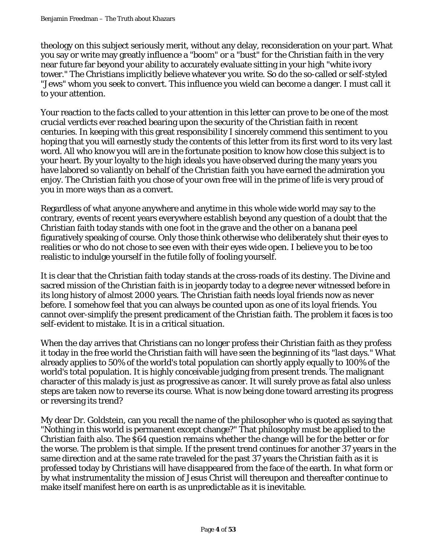theology on this subject seriously merit, without any delay, reconsideration on your part. What you say or write may greatly influence a "boom" or a "bust" for the Christian faith in the very near future far beyond your ability to accurately evaluate sitting in your high "white ivory tower." The Christians implicitly believe whatever you write. So do the so-called or self-styled "Jews" whom you seek to convert. This influence you wield can become a danger. I must call it to your attention.

Your reaction to the facts called to your attention in this letter can prove to be one of the most crucial verdicts ever reached bearing upon the security of the Christian faith in recent centuries. In keeping with this great responsibility I sincerely commend this sentiment to you hoping that you will earnestly study the contents of this letter from its first word to its very last word. All who know you will are in the fortunate position to know how close this subject is to your heart. By your loyalty to the high ideals you have observed during the many years you have labored so valiantly on behalf of the Christian faith you have earned the admiration you enjoy. The Christian faith you chose of your own free will in the prime of life is very proud of you in more ways than as a convert.

Regardless of what anyone anywhere and anytime in this whole wide world may say to the contrary, events of recent years everywhere establish beyond any question of a doubt that the Christian faith today stands with one foot in the grave and the other on a banana peel figuratively speaking of course. Only those think otherwise who deliberately shut their eyes to realities or who do not chose to see even with their eyes wide open. I believe you to be too realistic to indulge yourself in the futile folly of fooling yourself.

It is clear that the Christian faith today stands at the cross-roads of its destiny. The Divine and sacred mission of the Christian faith is in jeopardy today to a degree never witnessed before in its long history of almost 2000 years. The Christian faith needs loyal friends now as never before. I somehow feel that you can always be counted upon as one of its loyal friends. You cannot over-simplify the present predicament of the Christian faith. The problem it faces is too self-evident to mistake. It is in a critical situation.

When the day arrives that Christians can no longer profess their Christian faith as they profess it today in the free world the Christian faith will have seen the beginning of its "last days." What already applies to 50% of the world's total population can shortly apply equally to 100% of the world's total population. It is highly conceivable judging from present trends. The malignant character of this malady is just as progressive as cancer. It will surely prove as fatal also unless steps are taken now to reverse its course. What is now being done toward arresting its progress or reversing its trend?

My dear Dr. Goldstein, can you recall the name of the philosopher who is quoted as saying that "Nothing in this world is permanent except change?" That philosophy must be applied to the Christian faith also. The \$64 question remains whether the change will be for the better or for the worse. The problem is that simple. If the present trend continues for another 37 years in the same direction and at the same rate traveled for the past 37 years the Christian faith as it is professed today by Christians will have disappeared from the face of the earth. In what form or by what instrumentality the mission of Jesus Christ will thereupon and thereafter continue to make itself manifest here on earth is as unpredictable as it is inevitable.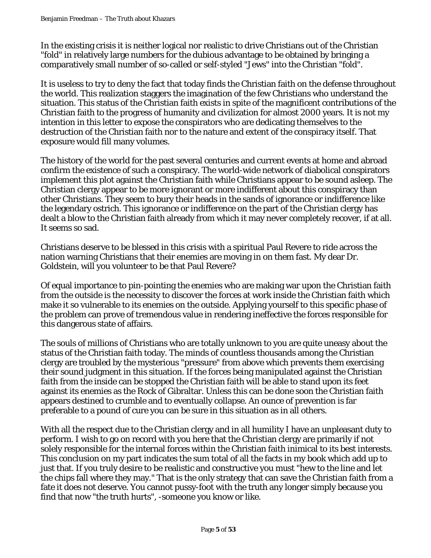In the existing crisis it is neither logical nor realistic to drive Christians out of the Christian "fold" in relatively large numbers for the dubious advantage to be obtained by bringing a comparatively small number of so-called or self-styled "Jews" into the Christian "fold".

It is useless to try to deny the fact that today finds the Christian faith on the defense throughout the world. This realization staggers the imagination of the few Christians who understand the situation. This status of the Christian faith exists in spite of the magnificent contributions of the Christian faith to the progress of humanity and civilization for almost 2000 years. It is not my intention in this letter to expose the conspirators who are dedicating themselves to the destruction of the Christian faith nor to the nature and extent of the conspiracy itself. That exposure would fill many volumes.

The history of the world for the past several centuries and current events at home and abroad confirm the existence of such a conspiracy. The world-wide network of diabolical conspirators implement this plot against the Christian faith while Christians appear to be sound asleep. The Christian clergy appear to be more ignorant or more indifferent about this conspiracy than other Christians. They seem to bury their heads in the sands of ignorance or indifference like the legendary ostrich. This ignorance or indifference on the part of the Christian clergy has dealt a blow to the Christian faith already from which it may never completely recover, if at all. It seems so sad.

Christians deserve to be blessed in this crisis with a spiritual Paul Revere to ride across the nation warning Christians that their enemies are moving in on them fast. My dear Dr. Goldstein, will you volunteer to be that Paul Revere?

Of equal importance to pin-pointing the enemies who are making war upon the Christian faith from the outside is the necessity to discover the forces at work inside the Christian faith which make it so vulnerable to its enemies on the outside. Applying yourself to this specific phase of the problem can prove of tremendous value in rendering ineffective the forces responsible for this dangerous state of affairs.

The souls of millions of Christians who are totally unknown to you are quite uneasy about the status of the Christian faith today. The minds of countless thousands among the Christian clergy are troubled by the mysterious "pressure" from above which prevents them exercising their sound judgment in this situation. If the forces being manipulated against the Christian faith from the inside can be stopped the Christian faith will be able to stand upon its feet against its enemies as the Rock of Gibraltar. Unless this can be done soon the Christian faith appears destined to crumble and to eventually collapse. An ounce of prevention is far preferable to a pound of cure you can be sure in this situation as in all others.

With all the respect due to the Christian clergy and in all humility I have an unpleasant duty to perform. I wish to go on record with you here that the Christian clergy are primarily if not solely responsible for the internal forces within the Christian faith inimical to its best interests. This conclusion on my part indicates the sum total of all the facts in my book which add up to just that. If you truly desire to be realistic and constructive you must "hew to the line and let the chips fall where they may." That is the only strategy that can save the Christian faith from a fate it does not deserve. You cannot pussy-foot with the truth any longer simply because you find that now "the truth hurts", -someone you know or like.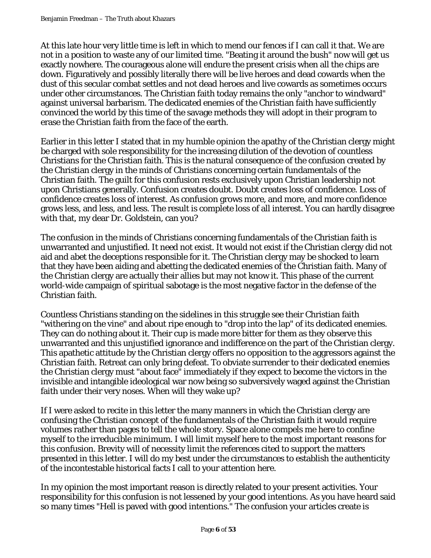At this late hour very little time is left in which to mend our fences if I can call it that. We are not in a position to waste any of our limited time. "Beating it around the bush" now will get us exactly nowhere. The courageous alone will endure the present crisis when all the chips are down. Figuratively and possibly literally there will be live heroes and dead cowards when the dust of this secular combat settles and not dead heroes and live cowards as sometimes occurs under other circumstances. The Christian faith today remains the only "anchor to windward" against universal barbarism. The dedicated enemies of the Christian faith have sufficiently convinced the world by this time of the savage methods they will adopt in their program to erase the Christian faith from the face of the earth.

Earlier in this letter I stated that in my humble opinion the apathy of the Christian clergy might be charged with sole responsibility for the increasing dilution of the devotion of countless Christians for the Christian faith. This is the natural consequence of the confusion created by the Christian clergy in the minds of Christians concerning certain fundamentals of the Christian faith. The guilt for this confusion rests exclusively upon Christian leadership not upon Christians generally. Confusion creates doubt. Doubt creates loss of confidence. Loss of confidence creates loss of interest. As confusion grows more, and more, and more confidence grows less, and less, and less. The result is complete loss of all interest. You can hardly disagree with that, my dear Dr. Goldstein, can you?

The confusion in the minds of Christians concerning fundamentals of the Christian faith is unwarranted and unjustified. It need not exist. It would not exist if the Christian clergy did not aid and abet the deceptions responsible for it. The Christian clergy may be shocked to learn that they have been aiding and abetting the dedicated enemies of the Christian faith. Many of the Christian clergy are actually their allies but may not know it. This phase of the current world-wide campaign of spiritual sabotage is the most negative factor in the defense of the Christian faith.

Countless Christians standing on the sidelines in this struggle see their Christian faith "withering on the vine" and about ripe enough to "drop into the lap" of its dedicated enemies. They can do nothing about it. Their cup is made more bitter for them as they observe this unwarranted and this unjustified ignorance and indifference on the part of the Christian clergy. This apathetic attitude by the Christian clergy offers no opposition to the aggressors against the Christian faith. Retreat can only bring defeat. To obviate surrender to their dedicated enemies the Christian clergy must "about face" immediately if they expect to become the victors in the invisible and intangible ideological war now being so subversively waged against the Christian faith under their very noses. When will they wake up?

If I were asked to recite in this letter the many manners in which the Christian clergy are confusing the Christian concept of the fundamentals of the Christian faith it would require volumes rather than pages to tell the whole story. Space alone compels me here to confine myself to the irreducible minimum. I will limit myself here to the most important reasons for this confusion. Brevity will of necessity limit the references cited to support the matters presented in this letter. I will do my best under the circumstances to establish the authenticity of the incontestable historical facts I call to your attention here.

In my opinion the most important reason is directly related to your present activities. Your responsibility for this confusion is not lessened by your good intentions. As you have heard said so many times "Hell is paved with good intentions." The confusion your articles create is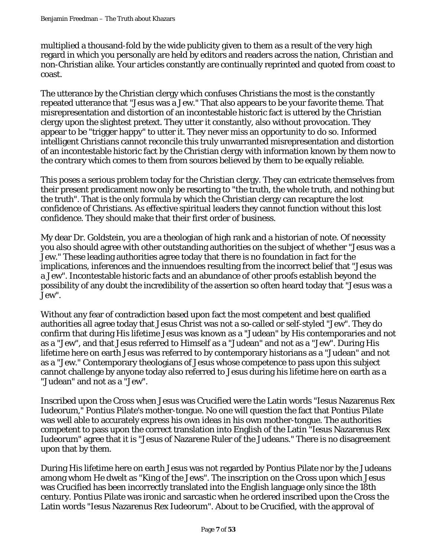multiplied a thousand-fold by the wide publicity given to them as a result of the very high regard in which you personally are held by editors and readers across the nation, Christian and non-Christian alike. Your articles constantly are continually reprinted and quoted from coast to coast.

The utterance by the Christian clergy which confuses Christians the most is the constantly repeated utterance that "Jesus was a Jew." That also appears to be your favorite theme. That misrepresentation and distortion of an incontestable historic fact is uttered by the Christian clergy upon the slightest pretext. They utter it constantly, also without provocation. They appear to be "trigger happy" to utter it. They never miss an opportunity to do so. Informed intelligent Christians cannot reconcile this truly unwarranted misrepresentation and distortion of an incontestable historic fact by the Christian clergy with information known by them now to the contrary which comes to them from sources believed by them to be equally reliable.

This poses a serious problem today for the Christian clergy. They can extricate themselves from their present predicament now only be resorting to "the truth, the whole truth, and nothing but the truth". That is the only formula by which the Christian clergy can recapture the lost confidence of Christians. As effective spiritual leaders they cannot function without this lost confidence. They should make that their first order of business.

My dear Dr. Goldstein, you are a theologian of high rank and a historian of note. Of necessity you also should agree with other outstanding authorities on the subject of whether "Jesus was a Jew." These leading authorities agree today that there is no foundation in fact for the implications, inferences and the innuendoes resulting from the incorrect belief that "Jesus was a Jew". Incontestable historic facts and an abundance of other proofs establish beyond the possibility of any doubt the incredibility of the assertion so often heard today that "Jesus was a Jew".

Without any fear of contradiction based upon fact the most competent and best qualified authorities all agree today that Jesus Christ was not a so-called or self-styled "Jew". They do confirm that during His lifetime Jesus was known as a "Judean" by His contemporaries and not as a "Jew", and that Jesus referred to Himself as a "Judean" and not as a "Jew". During His lifetime here on earth Jesus was referred to by contemporary historians as a "Judean" and not as a "Jew." Contemporary theologians of Jesus whose competence to pass upon this subject cannot challenge by anyone today also referred to Jesus during his lifetime here on earth as a "Judean" and not as a "Jew".

Inscribed upon the Cross when Jesus was Crucified were the Latin words "Iesus Nazarenus Rex Iudeorum," Pontius Pilate's mother-tongue. No one will question the fact that Pontius Pilate was well able to accurately express his own ideas in his own mother-tongue. The authorities competent to pass upon the correct translation into English of the Latin "Iesus Nazarenus Rex Iudeorum" agree that it is "Jesus of Nazarene Ruler of the Judeans." There is no disagreement upon that by them.

During His lifetime here on earth Jesus was not regarded by Pontius Pilate nor by the Judeans among whom He dwelt as "King of the Jews". The inscription on the Cross upon which Jesus was Crucified has been incorrectly translated into the English language only since the 18th century. Pontius Pilate was ironic and sarcastic when he ordered inscribed upon the Cross the Latin words "Iesus Nazarenus Rex Iudeorum". About to be Crucified, with the approval of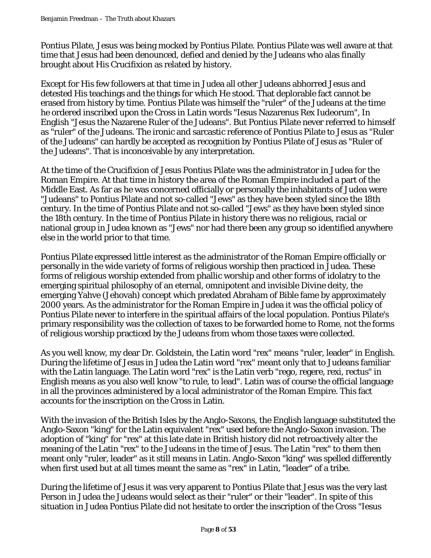Pontius Pilate, Jesus was being mocked by Pontius Pilate. Pontius Pilate was well aware at that time that Jesus had been denounced, defied and denied by the Judeans who alas finally brought about His Crucifixion as related by history.

Except for His few followers at that time in Judea all other Judeans abhorred Jesus and detested His teachings and the things for which He stood. That deplorable fact cannot be erased from history by time. Pontius Pilate was himself the "ruler" of the Judeans at the time he ordered inscribed upon the Cross in Latin words "Iesus Nazarenus Rex Iudeorum", In English "Jesus the Nazarene Ruler of the Judeans". But Pontius Pilate never referred to himself as "ruler" of the Judeans. The ironic and sarcastic reference of Pontius Pilate to Jesus as "Ruler of the Judeans" can hardly be accepted as recognition by Pontius Pilate of Jesus as "Ruler of the Judeans". That is inconceivable by any interpretation.

At the time of the Crucifixion of Jesus Pontius Pilate was the administrator in Judea for the Roman Empire. At that time in history the area of the Roman Empire included a part of the Middle East. As far as he was concerned officially or personally the inhabitants of Judea were "Judeans" to Pontius Pilate and not so-called "Jews" as they have been styled since the 18th century. In the time of Pontius Pilate and not so-called "Jews" as they have been styled since the 18th century. In the time of Pontius Pilate in history there was no religious, racial or national group in Judea known as "Jews" nor had there been any group so identified anywhere else in the world prior to that time.

Pontius Pilate expressed little interest as the administrator of the Roman Empire officially or personally in the wide variety of forms of religious worship then practiced in Judea. These forms of religious worship extended from phallic worship and other forms of idolatry to the emerging spiritual philosophy of an eternal, omnipotent and invisible Divine deity, the emerging Yahve (Jehovah) concept which predated Abraham of Bible fame by approximately 2000 years. As the administrator for the Roman Empire in Judea it was the official policy of Pontius Pilate never to interfere in the spiritual affairs of the local population. Pontius Pilate's primary responsibility was the collection of taxes to be forwarded home to Rome, not the forms of religious worship practiced by the Judeans from whom those taxes were collected.

As you well know, my dear Dr. Goldstein, the Latin word "rex" means "ruler, leader" in English. During the lifetime of Jesus in Judea the Latin word "rex" meant only that to Judeans familiar with the Latin language. The Latin word "rex" is the Latin verb "rego, regere, rexi, rectus" in English means as you also well know "to rule, to lead". Latin was of course the official language in all the provinces administered by a local administrator of the Roman Empire. This fact accounts for the inscription on the Cross in Latin.

With the invasion of the British Isles by the Anglo-Saxons, the English language substituted the Anglo-Saxon "king" for the Latin equivalent "rex" used before the Anglo-Saxon invasion. The adoption of "king" for "rex" at this late date in British history did not retroactively alter the meaning of the Latin "rex" to the Judeans in the time of Jesus. The Latin "rex" to them then meant only "ruler, leader" as it still means in Latin. Anglo-Saxon "king" was spelled differently when first used but at all times meant the same as "rex" in Latin, "leader" of a tribe.

During the lifetime of Jesus it was very apparent to Pontius Pilate that Jesus was the very last Person in Judea the Judeans would select as their "ruler" or their "leader". In spite of this situation in Judea Pontius Pilate did not hesitate to order the inscription of the Cross "Iesus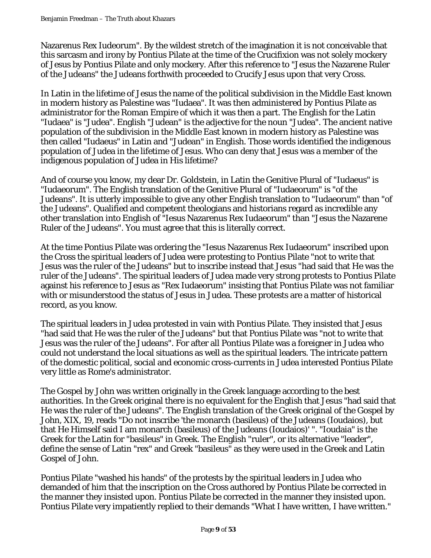Nazarenus Rex Iudeorum". By the wildest stretch of the imagination it is not conceivable that this sarcasm and irony by Pontius Pilate at the time of the Crucifixion was not solely mockery of Jesus by Pontius Pilate and only mockery. After this reference to "Jesus the Nazarene Ruler of the Judeans" the Judeans forthwith proceeded to Crucify Jesus upon that very Cross.

In Latin in the lifetime of Jesus the name of the political subdivision in the Middle East known in modern history as Palestine was "Iudaea". It was then administered by Pontius Pilate as administrator for the Roman Empire of which it was then a part. The English for the Latin "Iudaea" is "Judea". English "Judean" is the adjective for the noun "Judea". The ancient native population of the subdivision in the Middle East known in modern history as Palestine was then called "Iudaeus" in Latin and "Judean" in English. Those words identified the indigenous population of Judea in the lifetime of Jesus. Who can deny that Jesus was a member of the indigenous population of Judea in His lifetime?

And of course you know, my dear Dr. Goldstein, in Latin the Genitive Plural of "Iudaeus" is "Iudaeorum". The English translation of the Genitive Plural of "Iudaeorum" is "of the Judeans". It is utterly impossible to give any other English translation to "Iudaeorum" than "of the Judeans". Qualified and competent theologians and historians regard as incredible any other translation into English of "Iesus Nazarenus Rex Iudaeorum" than "Jesus the Nazarene Ruler of the Judeans". You must agree that this is literally correct.

At the time Pontius Pilate was ordering the "Iesus Nazarenus Rex Iudaeorum" inscribed upon the Cross the spiritual leaders of Judea were protesting to Pontius Pilate "not to write that Jesus was the ruler of the Judeans" but to inscribe instead that Jesus "had said that He was the ruler of the Judeans". The spiritual leaders of Judea made very strong protests to Pontius Pilate against his reference to Jesus as "Rex Iudaeorum" insisting that Pontius Pilate was not familiar with or misunderstood the status of Jesus in Judea. These protests are a matter of historical record, as you know.

The spiritual leaders in Judea protested in vain with Pontius Pilate. They insisted that Jesus "had said that He was the ruler of the Judeans" but that Pontius Pilate was "not to write that Jesus was the ruler of the Judeans". For after all Pontius Pilate was a foreigner in Judea who could not understand the local situations as well as the spiritual leaders. The intricate pattern of the domestic political, social and economic cross-currents in Judea interested Pontius Pilate very little as Rome's administrator.

The Gospel by John was written originally in the Greek language according to the best authorities. In the Greek original there is no equivalent for the English that Jesus "had said that He was the ruler of the Judeans". The English translation of the Greek original of the Gospel by John, XIX, 19, reads "Do not inscribe 'the monarch (basileus) of the Judeans (Ioudaios), but that He Himself said I am monarch (basileus) of the Judeans (Ioudaios)' ". "Ioudaia" is the Greek for the Latin for "basileus" in Greek. The English "ruler", or its alternative "leader", define the sense of Latin "rex" and Greek "basileus" as they were used in the Greek and Latin Gospel of John.

Pontius Pilate "washed his hands" of the protests by the spiritual leaders in Judea who demanded of him that the inscription on the Cross authored by Pontius Pilate be corrected in the manner they insisted upon. Pontius Pilate be corrected in the manner they insisted upon. Pontius Pilate very impatiently replied to their demands "What I have written, I have written."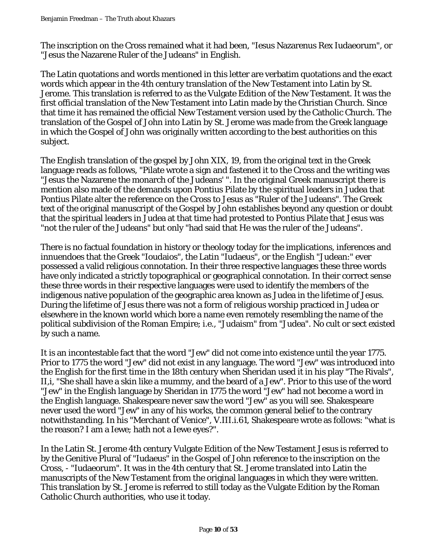The inscription on the Cross remained what it had been, "Iesus Nazarenus Rex Iudaeorum", or "Jesus the Nazarene Ruler of the Judeans" in English.

The Latin quotations and words mentioned in this letter are verbatim quotations and the exact words which appear in the 4th century translation of the New Testament into Latin by St. Jerome. This translation is referred to as the Vulgate Edition of the New Testament. It was the first official translation of the New Testament into Latin made by the Christian Church. Since that time it has remained the official New Testament version used by the Catholic Church. The translation of the Gospel of John into Latin by St. Jerome was made from the Greek language in which the Gospel of John was originally written according to the best authorities on this subject.

The English translation of the gospel by John XIX, 19, from the original text in the Greek language reads as follows, "Pilate wrote a sign and fastened it to the Cross and the writing was "Jesus the Nazarene the monarch of the Judeans' ". In the original Greek manuscript there is mention also made of the demands upon Pontius Pilate by the spiritual leaders in Judea that Pontius Pilate alter the reference on the Cross to Jesus as "Ruler of the Judeans". The Greek text of the original manuscript of the Gospel by John establishes beyond any question or doubt that the spiritual leaders in Judea at that time had protested to Pontius Pilate that Jesus was "not the ruler of the Judeans" but only "had said that He was the ruler of the Judeans".

There is no factual foundation in history or theology today for the implications, inferences and innuendoes that the Greek "Ioudaios", the Latin "Iudaeus", or the English "Judean:" ever possessed a valid religious connotation. In their three respective languages these three words have only indicated a strictly topographical or geographical connotation. In their correct sense these three words in their respective languages were used to identify the members of the indigenous native population of the geographic area known as Judea in the lifetime of Jesus. During the lifetime of Jesus there was not a form of religious worship practiced in Judea or elsewhere in the known world which bore a name even remotely resembling the name of the political subdivision of the Roman Empire; i.e., "Judaism" from "Judea". No cult or sect existed by such a name.

It is an incontestable fact that the word "Jew" did not come into existence until the year 1775. Prior to 1775 the word "Jew" did not exist in any language. The word "Jew" was introduced into the English for the first time in the 18th century when Sheridan used it in his play "The Rivals", II,i, "She shall have a skin like a mummy, and the beard of a Jew". Prior to this use of the word "Jew" in the English language by Sheridan in 1775 the word "Jew" had not become a word in the English language. Shakespeare never saw the word "Jew" as you will see. Shakespeare never used the word "Jew" in any of his works, the common general belief to the contrary notwithstanding. In his "Merchant of Venice", V.III.i.61, Shakespeare wrote as follows: "what is the reason? I am a Iewe; hath not a Iewe eyes?".

In the Latin St. Jerome 4th century Vulgate Edition of the New Testament Jesus is referred to by the Genitive Plural of "Iudaeus" in the Gospel of John reference to the inscription on the Cross, - "Iudaeorum". It was in the 4th century that St. Jerome translated into Latin the manuscripts of the New Testament from the original languages in which they were written. This translation by St. Jerome is referred to still today as the Vulgate Edition by the Roman Catholic Church authorities, who use it today.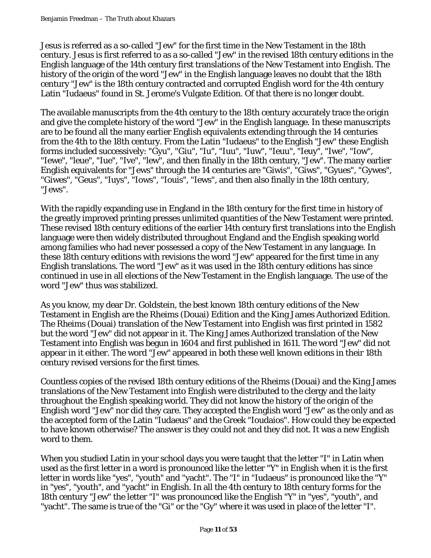Jesus is referred as a so-called "Jew" for the first time in the New Testament in the 18th century. Jesus is first referred to as a so-called "Jew" in the revised 18th century editions in the English language of the 14th century first translations of the New Testament into English. The history of the origin of the word "Jew" in the English language leaves no doubt that the 18th century "Jew" is the 18th century contracted and corrupted English word for the 4th century Latin "Iudaeus" found in St. Jerome's Vulgate Edition. Of that there is no longer doubt.

The available manuscripts from the 4th century to the 18th century accurately trace the origin and give the complete history of the word "Jew" in the English language. In these manuscripts are to be found all the many earlier English equivalents extending through the 14 centuries from the 4th to the 18th century. From the Latin "Iudaeus" to the English "Jew" these English forms included successively: "Gyu", "Giu", "Iu", "Iuu", "Iuw", "Ieuu", "Ieuy", "Iwe", "Iow", "Iewe", "leue", "Iue", "Ive", "lew", and then finally in the 18th century, "Jew". The many earlier English equivalents for "Jews" through the 14 centuries are "Giwis", "Giws", "Gyues", "Gywes", "Giwes", "Geus", "Iuys", "Iows", "Iouis", "Iews", and then also finally in the 18th century, "Jews".

With the rapidly expanding use in England in the 18th century for the first time in history of the greatly improved printing presses unlimited quantities of the New Testament were printed. These revised 18th century editions of the earlier 14th century first translations into the English language were then widely distributed throughout England and the English speaking world among families who had never possessed a copy of the New Testament in any language. In these 18th century editions with revisions the word "Jew" appeared for the first time in any English translations. The word "Jew" as it was used in the 18th century editions has since continued in use in all elections of the New Testament in the English language. The use of the word "Jew" thus was stabilized.

As you know, my dear Dr. Goldstein, the best known 18th century editions of the New Testament in English are the Rheims (Douai) Edition and the King James Authorized Edition. The Rheims (Douai) translation of the New Testament into English was first printed in 1582 but the word "Jew" did not appear in it. The King James Authorized translation of the New Testament into English was begun in 1604 and first published in 1611. The word "Jew" did not appear in it either. The word "Jew" appeared in both these well known editions in their 18th century revised versions for the first times.

Countless copies of the revised 18th century editions of the Rheims (Douai) and the King James translations of the New Testament into English were distributed to the clergy and the laity throughout the English speaking world. They did not know the history of the origin of the English word "Jew" nor did they care. They accepted the English word "Jew" as the only and as the accepted form of the Latin "Iudaeus" and the Greek "Ioudaios". How could they be expected to have known otherwise? The answer is they could not and they did not. It was a new English word to them.

When you studied Latin in your school days you were taught that the letter "I" in Latin when used as the first letter in a word is pronounced like the letter "Y" in English when it is the first letter in words like "yes", "youth" and "yacht". The "I" in "Iudaeus" is pronounced like the "Y" in "yes", "youth", and "yacht" in English. In all the 4th century to 18th century forms for the 18th century "Jew" the letter "I" was pronounced like the English "Y" in "yes", "youth", and "yacht". The same is true of the "Gi" or the "Gy" where it was used in place of the letter "I".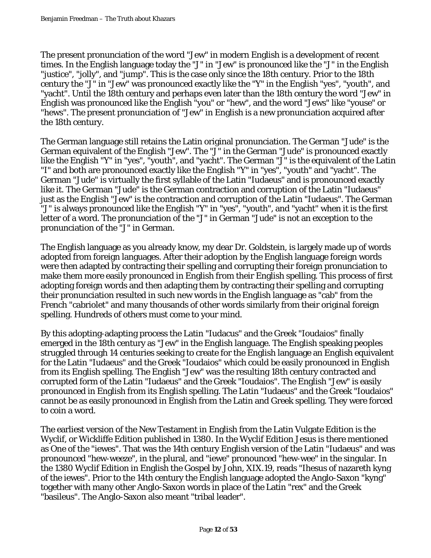The present pronunciation of the word "Jew" in modern English is a development of recent times. In the English language today the "J" in "Jew" is pronounced like the "J" in the English "justice", "jolly", and "jump". This is the case only since the 18th century. Prior to the 18th century the "J" in "Jew" was pronounced exactly like the "Y" in the English "yes", "youth", and "yacht". Until the 18th century and perhaps even later than the 18th century the word "Jew" in English was pronounced like the English "you" or "hew", and the word "Jews" like "youse" or "hews". The present pronunciation of "Jew" in English is a new pronunciation acquired after the 18th century.

The German language still retains the Latin original pronunciation. The German "Jude" is the German equivalent of the English "Jew". The "J" in the German "Jude" is pronounced exactly like the English "Y" in "yes", "youth", and "yacht". The German "J" is the equivalent of the Latin "I" and both are pronounced exactly like the English "Y" in "yes", "youth" and "yacht". The German "Jude" is virtually the first syllable of the Latin "Iudaeus" and is pronounced exactly like it. The German "Jude" is the German contraction and corruption of the Latin "Iudaeus" just as the English "Jew" is the contraction and corruption of the Latin "Iudaeus". The German "J" is always pronounced like the English "Y" in "yes", "youth", and "yacht" when it is the first letter of a word. The pronunciation of the "J" in German "Jude" is not an exception to the pronunciation of the "J" in German.

The English language as you already know, my dear Dr. Goldstein, is largely made up of words adopted from foreign languages. After their adoption by the English language foreign words were then adapted by contracting their spelling and corrupting their foreign pronunciation to make them more easily pronounced in English from their English spelling. This process of first adopting foreign words and then adapting them by contracting their spelling and corrupting their pronunciation resulted in such new words in the English language as "cab" from the French "cabriolet" and many thousands of other words similarly from their original foreign spelling. Hundreds of others must come to your mind.

By this adopting-adapting process the Latin "Iudacus" and the Greek "Ioudaios" finally emerged in the 18th century as "Jew" in the English language. The English speaking peoples struggled through 14 centuries seeking to create for the English language an English equivalent for the Latin "Iudaeus" and the Greek "Ioudaios" which could be easily pronounced in English from its English spelling. The English "Jew" was the resulting 18th century contracted and corrupted form of the Latin "Iudaeus" and the Greek "Ioudaios". The English "Jew" is easily pronounced in English from its English spelling. The Latin "Iudaeus" and the Greek "Ioudaios" cannot be as easily pronounced in English from the Latin and Greek spelling. They were forced to coin a word.

The earliest version of the New Testament in English from the Latin Vulgate Edition is the Wyclif, or Wickliffe Edition published in 1380. In the Wyclif Edition Jesus is there mentioned as One of the "iewes". That was the 14th century English version of the Latin "Iudaeus" and was pronounced "hew-weeze", in the plural, and "iewe" pronounced "hew-wee" in the singular. In the 1380 Wyclif Edition in English the Gospel by John, XIX.19, reads "Ihesus of nazareth kyng of the iewes". Prior to the 14th century the English language adopted the Anglo-Saxon "kyng" together with many other Anglo-Saxon words in place of the Latin "rex" and the Greek "basileus". The Anglo-Saxon also meant "tribal leader".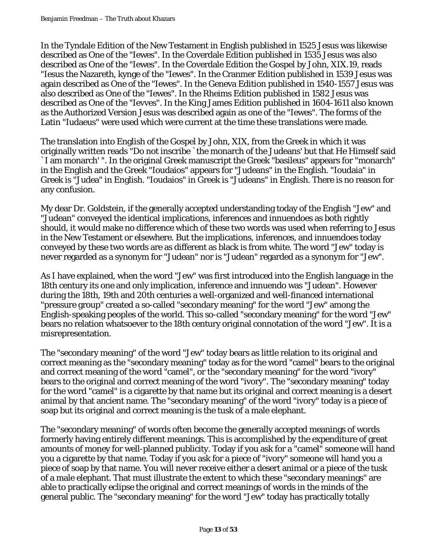In the Tyndale Edition of the New Testament in English published in 1525 Jesus was likewise described as One of the "Iewes". In the Coverdale Edition published in 1535 Jesus was also described as One of the "Iewes". In the Coverdale Edition the Gospel by John, XIX.19, reads "Iesus the Nazareth, kynge of the "Iewes". In the Cranmer Edition published in 1539 Jesus was again described as One of the "Iewes". In the Geneva Edition published in 1540-1557 Jesus was also described as One of the "Iewes". In the Rheims Edition published in 1582 Jesus was described as One of the "Ievves". In the King James Edition published in 1604-1611 also known as the Authorized Version Jesus was described again as one of the "Iewes". The forms of the Latin "Iudaeus" were used which were current at the time these translations were made.

The translation into English of the Gospel by John, XIX, from the Greek in which it was originally written reads "Do not inscribe `the monarch of the Judeans' but that He Himself said `I am monarch' ". In the original Greek manuscript the Greek "basileus" appears for "monarch" in the English and the Greek "Ioudaios" appears for "Judeans" in the English. "Ioudaia" in Greek is "Judea" in English. "Ioudaios" in Greek is "Judeans" in English. There is no reason for any confusion.

My dear Dr. Goldstein, if the generally accepted understanding today of the English "Jew" and "Judean" conveyed the identical implications, inferences and innuendoes as both rightly should, it would make no difference which of these two words was used when referring to Jesus in the New Testament or elsewhere. But the implications, inferences, and innuendoes today conveyed by these two words are as different as black is from white. The word "Jew" today is never regarded as a synonym for "Judean" nor is "Judean" regarded as a synonym for "Jew".

As I have explained, when the word "Jew" was first introduced into the English language in the 18th century its one and only implication, inference and innuendo was "Judean". However during the 18th, 19th and 20th centuries a well-organized and well-financed international "pressure group" created a so-called "secondary meaning" for the word "Jew" among the English-speaking peoples of the world. This so-called "secondary meaning" for the word "Jew" bears no relation whatsoever to the 18th century original connotation of the word "Jew". It is a misrepresentation.

The "secondary meaning" of the word "Jew" today bears as little relation to its original and correct meaning as the "secondary meaning" today as for the word "camel" bears to the original and correct meaning of the word "camel", or the "secondary meaning" for the word "ivory" bears to the original and correct meaning of the word "ivory". The "secondary meaning" today for the word "camel" is a cigarette by that name but its original and correct meaning is a desert animal by that ancient name. The "secondary meaning" of the word "ivory" today is a piece of soap but its original and correct meaning is the tusk of a male elephant.

The "secondary meaning" of words often become the generally accepted meanings of words formerly having entirely different meanings. This is accomplished by the expenditure of great amounts of money for well-planned publicity. Today if you ask for a "camel" someone will hand you a cigarette by that name. Today if you ask for a piece of "ivory" someone will hand you a piece of soap by that name. You will never receive either a desert animal or a piece of the tusk of a male elephant. That must illustrate the extent to which these "secondary meanings" are able to practically eclipse the original and correct meanings of words in the minds of the general public. The "secondary meaning" for the word "Jew" today has practically totally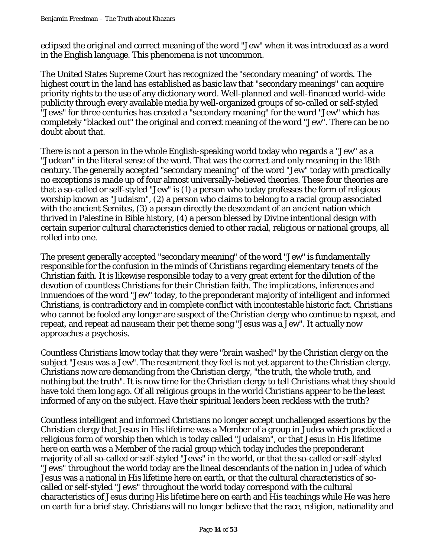eclipsed the original and correct meaning of the word "Jew" when it was introduced as a word in the English language. This phenomena is not uncommon.

The United States Supreme Court has recognized the "secondary meaning" of words. The highest court in the land has established as basic law that "secondary meanings" can acquire priority rights to the use of any dictionary word. Well-planned and well-financed world-wide publicity through every available media by well-organized groups of so-called or self-styled "Jews" for three centuries has created a "secondary meaning" for the word "Jew" which has completely "blacked out" the original and correct meaning of the word "Jew". There can be no doubt about that.

There is not a person in the whole English-speaking world today who regards a "Jew" as a "Judean" in the literal sense of the word. That was the correct and only meaning in the 18th century. The generally accepted "secondary meaning" of the word "Jew" today with practically no exceptions is made up of four almost universally-believed theories. These four theories are that a so-called or self-styled "Jew" is (1) a person who today professes the form of religious worship known as "Judaism", (2) a person who claims to belong to a racial group associated with the ancient Semites, (3) a person directly the descendant of an ancient nation which thrived in Palestine in Bible history, (4) a person blessed by Divine intentional design with certain superior cultural characteristics denied to other racial, religious or national groups, all rolled into one.

The present generally accepted "secondary meaning" of the word "Jew" is fundamentally responsible for the confusion in the minds of Christians regarding elementary tenets of the Christian faith. It is likewise responsible today to a very great extent for the dilution of the devotion of countless Christians for their Christian faith. The implications, inferences and innuendoes of the word "Jew" today, to the preponderant majority of intelligent and informed Christians, is contradictory and in complete conflict with incontestable historic fact. Christians who cannot be fooled any longer are suspect of the Christian clergy who continue to repeat, and repeat, and repeat ad nauseam their pet theme song "Jesus was a Jew". It actually now approaches a psychosis.

Countless Christians know today that they were "brain washed" by the Christian clergy on the subject "Jesus was a Jew". The resentment they feel is not yet apparent to the Christian clergy. Christians now are demanding from the Christian clergy, "the truth, the whole truth, and nothing but the truth". It is now time for the Christian clergy to tell Christians what they should have told them long ago. Of all religious groups in the world Christians appear to be the least informed of any on the subject. Have their spiritual leaders been reckless with the truth?

Countless intelligent and informed Christians no longer accept unchallenged assertions by the Christian clergy that Jesus in His lifetime was a Member of a group in Judea which practiced a religious form of worship then which is today called "Judaism", or that Jesus in His lifetime here on earth was a Member of the racial group which today includes the preponderant majority of all so-called or self-styled "Jews" in the world, or that the so-called or self-styled "Jews" throughout the world today are the lineal descendants of the nation in Judea of which Jesus was a national in His lifetime here on earth, or that the cultural characteristics of socalled or self-styled "Jews" throughout the world today correspond with the cultural characteristics of Jesus during His lifetime here on earth and His teachings while He was here on earth for a brief stay. Christians will no longer believe that the race, religion, nationality and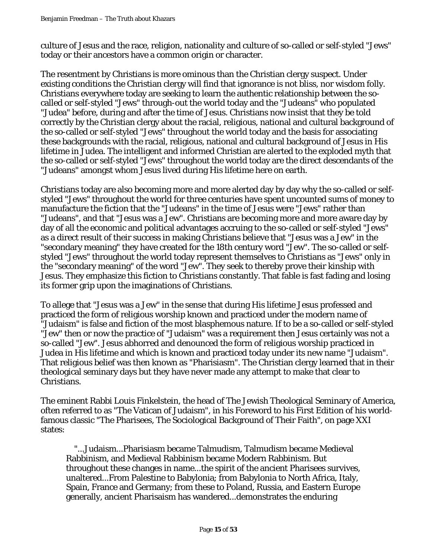culture of Jesus and the race, religion, nationality and culture of so-called or self-styled "Jews" today or their ancestors have a common origin or character.

The resentment by Christians is more ominous than the Christian clergy suspect. Under existing conditions the Christian clergy will find that ignorance is not bliss, nor wisdom folly. Christians everywhere today are seeking to learn the authentic relationship between the socalled or self-styled "Jews" through-out the world today and the "Judeans" who populated "Judea" before, during and after the time of Jesus. Christians now insist that they be told correctly by the Christian clergy about the racial, religious, national and cultural background of the so-called or self-styled "Jews" throughout the world today and the basis for associating these backgrounds with the racial, religious, national and cultural background of Jesus in His lifetime in Judea. The intelligent and informed Christian are alerted to the exploded myth that the so-called or self-styled "Jews" throughout the world today are the direct descendants of the "Judeans" amongst whom Jesus lived during His lifetime here on earth.

Christians today are also becoming more and more alerted day by day why the so-called or selfstyled "Jews" throughout the world for three centuries have spent uncounted sums of money to manufacture the fiction that the "Judeans" in the time of Jesus were "Jews" rather than "Judeans", and that "Jesus was a Jew". Christians are becoming more and more aware day by day of all the economic and political advantages accruing to the so-called or self-styled "Jews" as a direct result of their success in making Christians believe that "Jesus was a Jew" in the "secondary meaning" they have created for the 18th century word "Jew". The so-called or selfstyled "Jews" throughout the world today represent themselves to Christians as "Jews" only in the "secondary meaning" of the word "Jew". They seek to thereby prove their kinship with Jesus. They emphasize this fiction to Christians constantly. That fable is fast fading and losing its former grip upon the imaginations of Christians.

To allege that "Jesus was a Jew" in the sense that during His lifetime Jesus professed and practiced the form of religious worship known and practiced under the modern name of "Judaism" is false and fiction of the most blasphemous nature. If to be a so-called or self-styled "Jew" then or now the practice of "Judaism" was a requirement then Jesus certainly was not a so-called "Jew". Jesus abhorred and denounced the form of religious worship practiced in Judea in His lifetime and which is known and practiced today under its new name "Judaism". That religious belief was then known as "Pharisiasm". The Christian clergy learned that in their theological seminary days but they have never made any attempt to make that clear to Christians.

The eminent Rabbi Louis Finkelstein, the head of The Jewish Theological Seminary of America, often referred to as "The Vatican of Judaism", in his Foreword to his First Edition of his worldfamous classic "The Pharisees, The Sociological Background of Their Faith", on page XXI states:

 "...Judaism...Pharisiasm became Talmudism, Talmudism became Medieval Rabbinism, and Medieval Rabbinism became Modern Rabbinism. But throughout these changes in name...the spirit of the ancient Pharisees survives, unaltered...From Palestine to Babylonia; from Babylonia to North Africa, Italy, Spain, France and Germany; from these to Poland, Russia, and Eastern Europe generally, ancient Pharisaism has wandered...demonstrates the enduring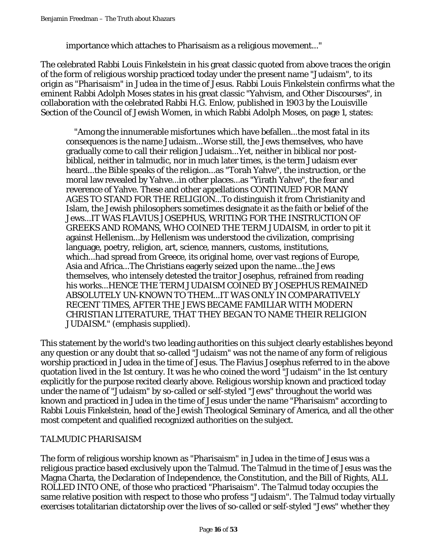importance which attaches to Pharisaism as a religious movement..."

The celebrated Rabbi Louis Finkelstein in his great classic quoted from above traces the origin of the form of religious worship practiced today under the present name "Judaism", to its origin as "Pharisaism" in Judea in the time of Jesus. Rabbi Louis Finkelstein confirms what the eminent Rabbi Adolph Moses states in his great classic "Yahvism, and Other Discourses", in collaboration with the celebrated Rabbi H.G. Enlow, published in 1903 by the Louisville Section of the Council of Jewish Women, in which Rabbi Adolph Moses, on page 1, states:

 "Among the innumerable misfortunes which have befallen...the most fatal in its consequences is the name Judaism...Worse still, the Jews themselves, who have gradually come to call their religion Judaism...Yet, neither in biblical nor postbiblical, neither in talmudic, nor in much later times, is the term Judaism ever heard...the Bible speaks of the religion...as "Torah Yahve", the instruction, or the moral law revealed by Yahve...in other places...as "Yirath Yahve", the fear and reverence of Yahve. These and other appellations CONTINUED FOR MANY AGES TO STAND FOR THE RELIGION...To distinguish it from Christianity and Islam, the Jewish philosophers sometimes designate it as the faith or belief of the Jews...IT WAS FLAVIUS JOSEPHUS, WRITING FOR THE INSTRUCTION OF GREEKS AND ROMANS, WHO COINED THE TERM JUDAISM, in order to pit it against Hellenism...by Hellenism was understood the civilization, comprising language, poetry, religion, art, science, manners, customs, institutions, which...had spread from Greece, its original home, over vast regions of Europe, Asia and Africa...The Christians eagerly seized upon the name...the Jews themselves, who intensely detested the traitor Josephus, refrained from reading his works...HENCE THE TERM JUDAISM COINED BY JOSEPHUS REMAINED ABSOLUTELY UN-KNOWN TO THEM...IT WAS ONLY IN COMPARATIVELY RECENT TIMES, AFTER THE JEWS BECAME FAMILIAR WITH MODERN CHRISTIAN LITERATURE, THAT THEY BEGAN TO NAME THEIR RELIGION JUDAISM." (emphasis supplied).

This statement by the world's two leading authorities on this subject clearly establishes beyond any question or any doubt that so-called "Judaism" was not the name of any form of religious worship practiced in Judea in the time of Jesus. The Flavius Josephus referred to in the above quotation lived in the 1st century. It was he who coined the word "Judaism" in the 1st century explicitly for the purpose recited clearly above. Religious worship known and practiced today under the name of "Judaism" by so-called or self-styled "Jews" throughout the world was known and practiced in Judea in the time of Jesus under the name "Pharisaism" according to Rabbi Louis Finkelstein, head of the Jewish Theological Seminary of America, and all the other most competent and qualified recognized authorities on the subject.

# TALMUDIC PHARISAISM

The form of religious worship known as "Pharisaism" in Judea in the time of Jesus was a religious practice based exclusively upon the Talmud. The Talmud in the time of Jesus was the Magna Charta, the Declaration of Independence, the Constitution, and the Bill of Rights, ALL ROLLED INTO ONE, of those who practiced "Pharisaism". The Talmud today occupies the same relative position with respect to those who profess "Judaism". The Talmud today virtually exercises totalitarian dictatorship over the lives of so-called or self-styled "Jews" whether they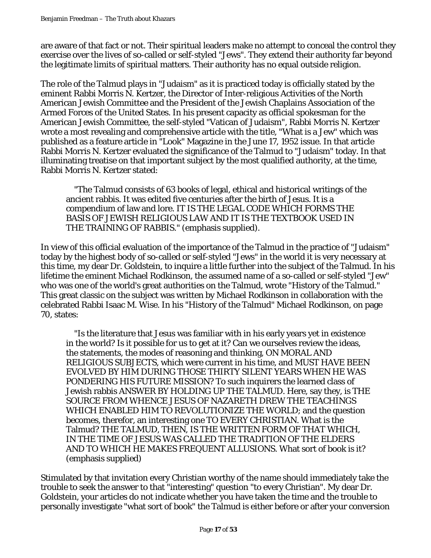are aware of that fact or not. Their spiritual leaders make no attempt to conceal the control they exercise over the lives of so-called or self-styled "Jews". They extend their authority far beyond the legitimate limits of spiritual matters. Their authority has no equal outside religion.

The role of the Talmud plays in "Judaism" as it is practiced today is officially stated by the eminent Rabbi Morris N. Kertzer, the Director of Inter-religious Activities of the North American Jewish Committee and the President of the Jewish Chaplains Association of the Armed Forces of the United States. In his present capacity as official spokesman for the American Jewish Committee, the self-styled "Vatican of Judaism", Rabbi Morris N. Kertzer wrote a most revealing and comprehensive article with the title, "What is a Jew" which was published as a feature article in "Look" Magazine in the June 17, 1952 issue. In that article Rabbi Morris N. Kertzer evaluated the significance of the Talmud to "Judaism" today. In that illuminating treatise on that important subject by the most qualified authority, at the time, Rabbi Morris N. Kertzer stated:

 "The Talmud consists of 63 books of legal, ethical and historical writings of the ancient rabbis. It was edited five centuries after the birth of Jesus. It is a compendium of law and lore. IT IS THE LEGAL CODE WHICH FORMS THE BASIS OF JEWISH RELIGIOUS LAW AND IT IS THE TEXTBOOK USED IN THE TRAINING OF RABBIS." (emphasis supplied).

In view of this official evaluation of the importance of the Talmud in the practice of "Judaism" today by the highest body of so-called or self-styled "Jews" in the world it is very necessary at this time, my dear Dr. Goldstein, to inquire a little further into the subject of the Talmud. In his lifetime the eminent Michael Rodkinson, the assumed name of a so-called or self-styled "Jew" who was one of the world's great authorities on the Talmud, wrote "History of the Talmud." This great classic on the subject was written by Michael Rodkinson in collaboration with the celebrated Rabbi Isaac M. Wise. In his "History of the Talmud" Michael Rodkinson, on page 70, states:

 "Is the literature that Jesus was familiar with in his early years yet in existence in the world? Is it possible for us to get at it? Can we ourselves review the ideas, the statements, the modes of reasoning and thinking, ON MORAL AND RELIGIOUS SUBJECTS, which were current in his time, and MUST HAVE BEEN EVOLVED BY HIM DURING THOSE THIRTY SILENT YEARS WHEN HE WAS PONDERING HIS FUTURE MISSION? To such inquirers the learned class of Jewish rabbis ANSWER BY HOLDING UP THE TALMUD. Here, say they, is THE SOURCE FROM WHENCE JESUS OF NAZARETH DREW THE TEACHINGS WHICH ENABLED HIM TO REVOLUTIONIZE THE WORLD; and the question becomes, therefor, an interesting one TO EVERY CHRISTIAN. What is the Talmud? THE TALMUD, THEN, IS THE WRITTEN FORM OF THAT WHICH, IN THE TIME OF JESUS WAS CALLED THE TRADITION OF THE ELDERS AND TO WHICH HE MAKES FREQUENT ALLUSIONS. What sort of book is it? (emphasis supplied)

Stimulated by that invitation every Christian worthy of the name should immediately take the trouble to seek the answer to that "interesting" question "to every Christian". My dear Dr. Goldstein, your articles do not indicate whether you have taken the time and the trouble to personally investigate "what sort of book" the Talmud is either before or after your conversion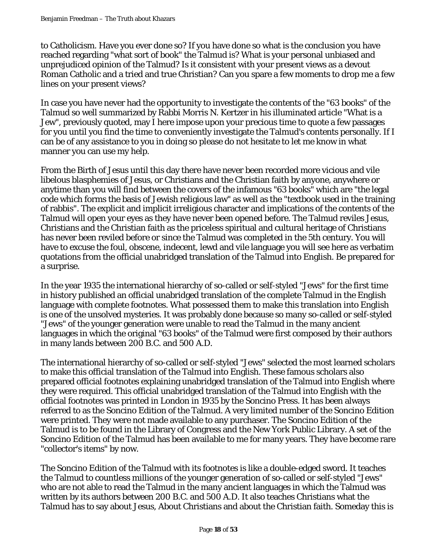to Catholicism. Have you ever done so? If you have done so what is the conclusion you have reached regarding "what sort of book" the Talmud is? What is your personal unbiased and unprejudiced opinion of the Talmud? Is it consistent with your present views as a devout Roman Catholic and a tried and true Christian? Can you spare a few moments to drop me a few lines on your present views?

In case you have never had the opportunity to investigate the contents of the "63 books" of the Talmud so well summarized by Rabbi Morris N. Kertzer in his illuminated article "What is a Jew", previously quoted, may I here impose upon your precious time to quote a few passages for you until you find the time to conveniently investigate the Talmud's contents personally. If I can be of any assistance to you in doing so please do not hesitate to let me know in what manner you can use my help.

From the Birth of Jesus until this day there have never been recorded more vicious and vile libelous blasphemies of Jesus, or Christians and the Christian faith by anyone, anywhere or anytime than you will find between the covers of the infamous "63 books" which are "the legal code which forms the basis of Jewish religious law" as well as the "textbook used in the training of rabbis". The explicit and implicit irreligious character and implications of the contents of the Talmud will open your eyes as they have never been opened before. The Talmud reviles Jesus, Christians and the Christian faith as the priceless spiritual and cultural heritage of Christians has never been reviled before or since the Talmud was completed in the 5th century. You will have to excuse the foul, obscene, indecent, lewd and vile language you will see here as verbatim quotations from the official unabridged translation of the Talmud into English. Be prepared for a surprise.

In the year 1935 the international hierarchy of so-called or self-styled "Jews" for the first time in history published an official unabridged translation of the complete Talmud in the English language with complete footnotes. What possessed them to make this translation into English is one of the unsolved mysteries. It was probably done because so many so-called or self-styled "Jews" of the younger generation were unable to read the Talmud in the many ancient languages in which the original "63 books" of the Talmud were first composed by their authors in many lands between 200 B.C. and 500 A.D.

The international hierarchy of so-called or self-styled "Jews" selected the most learned scholars to make this official translation of the Talmud into English. These famous scholars also prepared official footnotes explaining unabridged translation of the Talmud into English where they were required. This official unabridged translation of the Talmud into English with the official footnotes was printed in London in 1935 by the Soncino Press. It has been always referred to as the Soncino Edition of the Talmud. A very limited number of the Soncino Edition were printed. They were not made available to any purchaser. The Soncino Edition of the Talmud is to be found in the Library of Congress and the New York Public Library. A set of the Soncino Edition of the Talmud has been available to me for many years. They have become rare "collector's items" by now.

The Soncino Edition of the Talmud with its footnotes is like a double-edged sword. It teaches the Talmud to countless millions of the younger generation of so-called or self-styled "Jews" who are not able to read the Talmud in the many ancient languages in which the Talmud was written by its authors between 200 B.C. and 500 A.D. It also teaches Christians what the Talmud has to say about Jesus, About Christians and about the Christian faith. Someday this is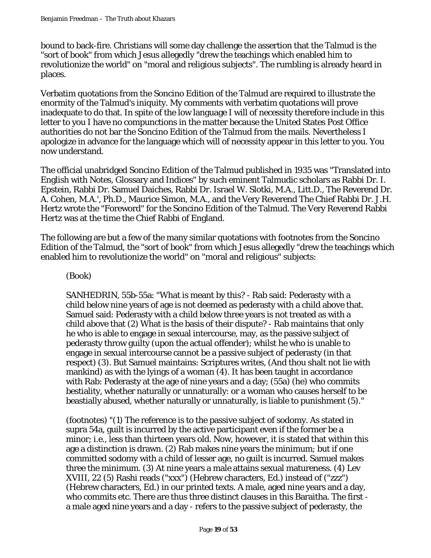bound to back-fire. Christians will some day challenge the assertion that the Talmud is the "sort of book" from which Jesus allegedly "drew the teachings which enabled him to revolutionize the world" on "moral and religious subjects". The rumbling is already heard in places.

Verbatim quotations from the Soncino Edition of the Talmud are required to illustrate the enormity of the Talmud's iniquity. My comments with verbatim quotations will prove inadequate to do that. In spite of the low language I will of necessity therefore include in this letter to you I have no compunctions in the matter because the United States Post Office authorities do not bar the Soncino Edition of the Talmud from the mails. Nevertheless I apologize in advance for the language which will of necessity appear in this letter to you. You now understand.

The official unabridged Soncino Edition of the Talmud published in 1935 was "Translated into English with Notes, Glossary and Indices" by such eminent Talmudic scholars as Rabbi Dr. I. Epstein, Rabbi Dr. Samuel Daiches, Rabbi Dr. Israel W. Slotki, M.A., Litt.D., The Reverend Dr. A. Cohen, M.A.', Ph.D., Maurice Simon, M.A., and the Very Reverend The Chief Rabbi Dr. J.H. Hertz wrote the "Foreword" for the Soncino Edition of the Talmud. The Very Reverend Rabbi Hertz was at the time the Chief Rabbi of England.

The following are but a few of the many similar quotations with footnotes from the Soncino Edition of the Talmud, the "sort of book" from which Jesus allegedly "drew the teachings which enabled him to revolutionize the world" on "moral and religious" subjects:

### (Book)

SANHEDRIN, 55b-55a: "What is meant by this? - Rab said: Pederasty with a child below nine years of age is not deemed as pederasty with a child above that. Samuel said: Pederasty with a child below three years is not treated as with a child above that (2) What is the basis of their dispute? - Rab maintains that only he who is able to engage in sexual intercourse, may, as the passive subject of pederasty throw guilty (upon the actual offender); whilst he who is unable to engage in sexual intercourse cannot be a passive subject of pederasty (in that respect) (3). But Samuel maintains: Scriptures writes, (And thou shalt not lie with mankind) as with the lyings of a woman (4). It has been taught in accordance with Rab: Pederasty at the age of nine years and a day; (55a) (he) who commits bestiality, whether naturally or unnaturally: or a woman who causes herself to be beastially abused, whether naturally or unnaturally, is liable to punishment (5)."

(footnotes) "(1) The reference is to the passive subject of sodomy. As stated in supra 54a, guilt is incurred by the active participant even if the former be a minor; i.e., less than thirteen years old. Now, however, it is stated that within this age a distinction is drawn. (2) Rab makes nine years the minimum; but if one committed sodomy with a child of lesser age, no guilt is incurred. Samuel makes three the minimum. (3) At nine years a male attains sexual matureness. (4) Lev XVIII, 22 (5) Rashi reads ("xxx") (Hebrew characters, Ed.) instead of ("zzz") (Hebrew characters, Ed.) in our printed texts. A male, aged nine years and a day, who commits etc. There are thus three distinct clauses in this Baraitha. The first a male aged nine years and a day - refers to the passive subject of pederasty, the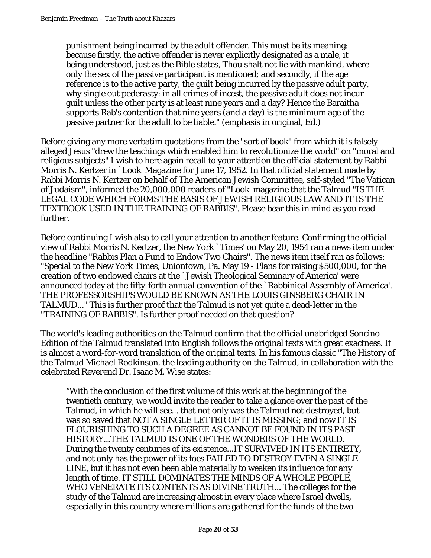punishment being incurred by the adult offender. This must be its meaning: because firstly, the active offender is never explicitly designated as a male, it being understood, just as the Bible states, Thou shalt not lie with mankind, where only the sex of the passive participant is mentioned; and secondly, if the age reference is to the active party, the guilt being incurred by the passive adult party, why single out pederasty: in all crimes of incest, the passive adult does not incur guilt unless the other party is at least nine years and a day? Hence the Baraitha supports Rab's contention that nine years (and a day) is the minimum age of the passive partner for the adult to be liable." (emphasis in original, Ed.)

Before giving any more verbatim quotations from the "sort of book" from which it is falsely alleged Jesus "drew the teachings which enabled him to revolutionize the world" on "moral and religious subjects" I wish to here again recall to your attention the official statement by Rabbi Morris N. Kertzer in `Look' Magazine for June 17, 1952. In that official statement made by Rabbi Morris N. Kertzer on behalf of The American Jewish Committee, self-styled "The Vatican of Judaism", informed the 20,000,000 readers of "Look' magazine that the Talmud "IS THE LEGAL CODE WHICH FORMS THE BASIS OF JEWISH RELIGIOUS LAW AND IT IS THE TEXTBOOK USED IN THE TRAINING OF RABBIS". Please bear this in mind as you read further.

Before continuing I wish also to call your attention to another feature. Confirming the official view of Rabbi Morris N. Kertzer, the New York `Times' on May 20, 1954 ran a news item under the headline "Rabbis Plan a Fund to Endow Two Chairs". The news item itself ran as follows: "Special to the New York Times, Uniontown, Pa. May 19 - Plans for raising \$500,000, for the creation of two endowed chairs at the `Jewish Theological Seminary of America' were announced today at the fifty-forth annual convention of the `Rabbinical Assembly of America'. THE PROFESSORSHIPS WOULD BE KNOWN AS THE LOUIS GINSBERG CHAIR IN TALMUD..." This is further proof that the Talmud is not yet quite a dead-letter in the "TRAINING OF RABBIS". Is further proof needed on that question?

The world's leading authorities on the Talmud confirm that the official unabridged Soncino Edition of the Talmud translated into English follows the original texts with great exactness. It is almost a word-for-word translation of the original texts. In his famous classic "The History of the Talmud Michael Rodkinson, the leading authority on the Talmud, in collaboration with the celebrated Reverend Dr. Isaac M. Wise states:

"With the conclusion of the first volume of this work at the beginning of the twentieth century, we would invite the reader to take a glance over the past of the Talmud, in which he will see... that not only was the Talmud not destroyed, but was so saved that NOT A SINGLE LETTER OF IT IS MISSING; and now IT IS FLOURISHING TO SUCH A DEGREE AS CANNOT BE FOUND IN ITS PAST HISTORY...THE TALMUD IS ONE OF THE WONDERS OF THE WORLD. During the twenty centuries of its existence...IT SURVIVED IN ITS ENTIRETY, and not only has the power of its foes FAILED TO DESTROY EVEN A SINGLE LINE, but it has not even been able materially to weaken its influence for any length of time. IT STILL DOMINATES THE MINDS OF A WHOLE PEOPLE, WHO VENERATE ITS CONTENTS AS DIVINE TRUTH... The colleges for the study of the Talmud are increasing almost in every place where Israel dwells, especially in this country where millions are gathered for the funds of the two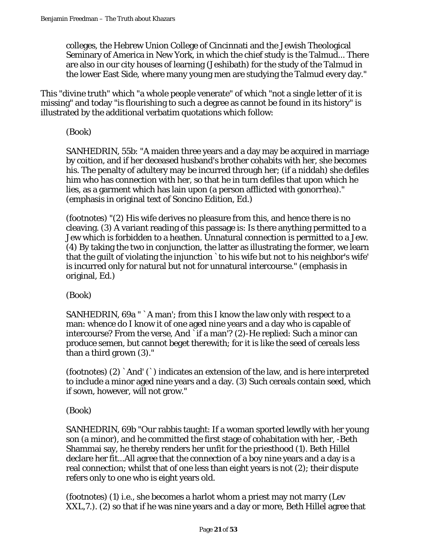colleges, the Hebrew Union College of Cincinnati and the Jewish Theological Seminary of America in New York, in which the chief study is the Talmud... There are also in our city houses of learning (Jeshibath) for the study of the Talmud in the lower East Side, where many young men are studying the Talmud every day."

This "divine truth" which "a whole people venerate" of which "not a single letter of it is missing" and today "is flourishing to such a degree as cannot be found in its history" is illustrated by the additional verbatim quotations which follow:

### (Book)

SANHEDRIN, 55b: "A maiden three years and a day may be acquired in marriage by coition, and if her deceased husband's brother cohabits with her, she becomes his. The penalty of adultery may be incurred through her; (if a niddah) she defiles him who has connection with her, so that he in turn defiles that upon which he lies, as a garment which has lain upon (a person afflicted with gonorrhea)." (emphasis in original text of Soncino Edition, Ed.)

(footnotes) "(2) His wife derives no pleasure from this, and hence there is no cleaving. (3) A variant reading of this passage is: Is there anything permitted to a Jew which is forbidden to a heathen. Unnatural connection is permitted to a Jew. (4) By taking the two in conjunction, the latter as illustrating the former, we learn that the guilt of violating the injunction `to his wife but not to his neighbor's wife' is incurred only for natural but not for unnatural intercourse." (emphasis in original, Ed.)

(Book)

SANHEDRIN, 69a " `A man'; from this I know the law only with respect to a man: whence do I know it of one aged nine years and a day who is capable of intercourse? From the verse, And `if a man'? (2)-He replied: Such a minor can produce semen, but cannot beget therewith; for it is like the seed of cereals less than a third grown (3)."

(footnotes) (2) `And' (`) indicates an extension of the law, and is here interpreted to include a minor aged nine years and a day. (3) Such cereals contain seed, which if sown, however, will not grow."

### (Book)

SANHEDRIN, 69b "Our rabbis taught: If a woman sported lewdly with her young son (a minor), and he committed the first stage of cohabitation with her, -Beth Shammai say, he thereby renders her unfit for the priesthood (1). Beth Hillel declare her fit...All agree that the connection of a boy nine years and a day is a real connection; whilst that of one less than eight years is not (2); their dispute refers only to one who is eight years old.

(footnotes) (1) i.e., she becomes a harlot whom a priest may not marry (Lev XXL,7.). (2) so that if he was nine years and a day or more, Beth Hillel agree that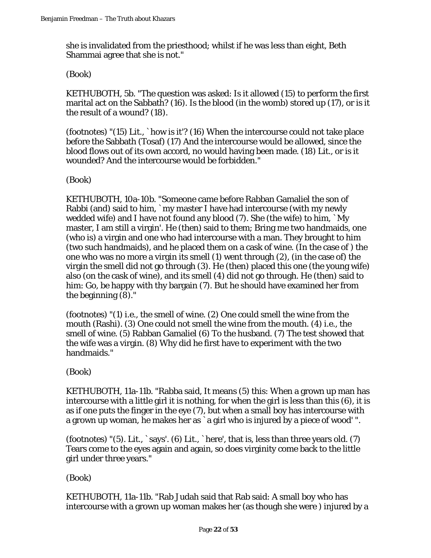she is invalidated from the priesthood; whilst if he was less than eight, Beth Shammai agree that she is not."

#### (Book)

KETHUBOTH, 5b. "The question was asked: Is it allowed (15) to perform the first marital act on the Sabbath? (16). Is the blood (in the womb) stored up (17), or is it the result of a wound? (18).

(footnotes) "(15) Lit., `how is it'? (16) When the intercourse could not take place before the Sabbath (Tosaf) (17) And the intercourse would be allowed, since the blood flows out of its own accord, no would having been made. (18) Lit., or is it wounded? And the intercourse would be forbidden."

#### (Book)

KETHUBOTH, 10a-10b. "Someone came before Rabban Gamaliel the son of Rabbi (and) said to him, `my master I have had intercourse (with my newly wedded wife) and I have not found any blood (7). She (the wife) to him, `My master, I am still a virgin'. He (then) said to them; Bring me two handmaids, one (who is) a virgin and one who had intercourse with a man. They brought to him (two such handmaids), and he placed them on a cask of wine. (In the case of ) the one who was no more a virgin its smell (1) went through (2), (in the case of) the virgin the smell did not go through (3). He (then) placed this one (the young wife) also (on the cask of wine), and its smell (4) did not go through. He (then) said to him: Go, be happy with thy bargain (7). But he should have examined her from the beginning (8)."

(footnotes) "(1) i.e., the smell of wine. (2) One could smell the wine from the mouth (Rashi). (3) One could not smell the wine from the mouth. (4) i.e., the smell of wine. (5) Rabban Gamaliel (6) To the husband. (7) The test showed that the wife was a virgin. (8) Why did he first have to experiment with the two handmaids."

### (Book)

KETHUBOTH, 11a-11b. "Rabba said, It means (5) this: When a grown up man has intercourse with a little girl it is nothing, for when the girl is less than this (6), it is as if one puts the finger in the eye (7), but when a small boy has intercourse with a grown up woman, he makes her as `a girl who is injured by a piece of wood' ".

(footnotes) "(5). Lit., `says'. (6) Lit., `here', that is, less than three years old. (7) Tears come to the eyes again and again, so does virginity come back to the little girl under three years."

### (Book)

KETHUBOTH, 11a-11b. "Rab Judah said that Rab said: A small boy who has intercourse with a grown up woman makes her (as though she were ) injured by a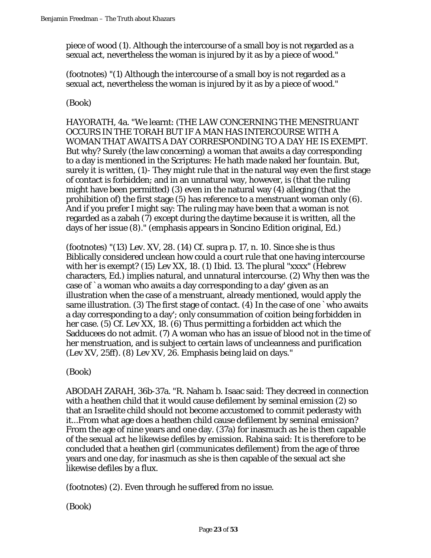piece of wood (1). Although the intercourse of a small boy is not regarded as a sexual act, nevertheless the woman is injured by it as by a piece of wood."

(footnotes) "(1) Although the intercourse of a small boy is not regarded as a sexual act, nevertheless the woman is injured by it as by a piece of wood."

### (Book)

HAYORATH, 4a. "We learnt: (THE LAW CONCERNING THE MENSTRUANT OCCURS IN THE TORAH BUT IF A MAN HAS INTERCOURSE WITH A WOMAN THAT AWAITS A DAY CORRESPONDING TO A DAY HE IS EXEMPT. But why? Surely (the law concerning) a woman that awaits a day corresponding to a day is mentioned in the Scriptures: He hath made naked her fountain. But, surely it is written, (1)- They might rule that in the natural way even the first stage of contact is forbidden; and in an unnatural way, however, is (that the ruling might have been permitted) (3) even in the natural way (4) alleging (that the prohibition of) the first stage (5) has reference to a menstruant woman only (6). And if you prefer I might say: The ruling may have been that a woman is not regarded as a zabah (7) except during the daytime because it is written, all the days of her issue (8)." (emphasis appears in Soncino Edition original, Ed.)

(footnotes) "(13) Lev. XV, 28. (14) Cf. supra p. 17, n. 10. Since she is thus Biblically considered unclean how could a court rule that one having intercourse with her is exempt? (15) Lev XX, 18. (1) Ibid. 13. The plural "xxxx" (Hebrew characters, Ed.) implies natural, and unnatural intercourse. (2) Why then was the case of `a woman who awaits a day corresponding to a day' given as an illustration when the case of a menstruant, already mentioned, would apply the same illustration. (3) The first stage of contact. (4) In the case of one `who awaits a day corresponding to a day'; only consummation of coition being forbidden in her case. (5) Cf. Lev XX, 18. (6) Thus permitting a forbidden act which the Sadducees do not admit. (7) A woman who has an issue of blood not in the time of her menstruation, and is subject to certain laws of uncleanness and purification (Lev XV, 25ff). (8) Lev XV, 26. Emphasis being laid on days."

(Book)

ABODAH ZARAH, 36b-37a. "R. Naham b. Isaac said: They decreed in connection with a heathen child that it would cause defilement by seminal emission (2) so that an Israelite child should not become accustomed to commit pederasty with it...From what age does a heathen child cause defilement by seminal emission? From the age of nine years and one day. (37a) for inasmuch as he is then capable of the sexual act he likewise defiles by emission. Rabina said: It is therefore to be concluded that a heathen girl (communicates defilement) from the age of three years and one day, for inasmuch as she is then capable of the sexual act she likewise defiles by a flux.

(footnotes) (2). Even through he suffered from no issue.

(Book)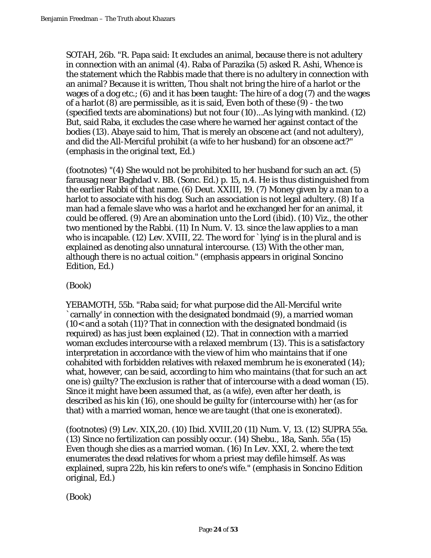SOTAH, 26b. "R. Papa said: It excludes an animal, because there is not adultery in connection with an animal (4). Raba of Parazika (5) asked R. Ashi, Whence is the statement which the Rabbis made that there is no adultery in connection with an animal? Because it is written, Thou shalt not bring the hire of a harlot or the wages of a dog etc.; (6) and it has been taught: The hire of a dog (7) and the wages of a harlot (8) are permissible, as it is said, Even both of these (9) - the two (specified texts are abominations) but not four (10)...As lying with mankind. (12) But, said Raba, it excludes the case where he warned her against contact of the bodies (13). Abaye said to him, That is merely an obscene act (and not adultery), and did the All-Merciful prohibit (a wife to her husband) for an obscene act?" (emphasis in the original text, Ed.)

(footnotes) "(4) She would not be prohibited to her husband for such an act. (5) farausag near Baghdad v. BB. (Sonc. Ed.) p. 15, n.4. He is thus distinguished from the earlier Rabbi of that name. (6) Deut. XXIII, 19. (7) Money given by a man to a harlot to associate with his dog. Such an association is not legal adultery. (8) If a man had a female slave who was a harlot and he exchanged her for an animal, it could be offered. (9) Are an abomination unto the Lord (ibid). (10) Viz., the other two mentioned by the Rabbi. (11) In Num. V. 13. since the law applies to a man who is incapable. (12) Lev. XVIII, 22. The word for `lying' is in the plural and is explained as denoting also unnatural intercourse. (13) With the other man, although there is no actual coition." (emphasis appears in original Soncino Edition, Ed.)

### (Book)

YEBAMOTH, 55b. "Raba said; for what purpose did the All-Merciful write `carnally' in connection with the designated bondmaid (9), a married woman (10< and a sotah (11)? That in connection with the designated bondmaid (is required) as has just been explained (12). That in connection with a married woman excludes intercourse with a relaxed membrum (13). This is a satisfactory interpretation in accordance with the view of him who maintains that if one cohabited with forbidden relatives with relaxed membrum he is exonerated (14); what, however, can be said, according to him who maintains (that for such an act one is) guilty? The exclusion is rather that of intercourse with a dead woman (15). Since it might have been assumed that, as (a wife), even after her death, is described as his kin (16), one should be guilty for (intercourse with) her (as for that) with a married woman, hence we are taught (that one is exonerated).

(footnotes) (9) Lev. XIX,20. (10) Ibid. XVIII,20 (11) Num. V, 13. (12) SUPRA 55a. (13) Since no fertilization can possibly occur. (14) Shebu., 18a, Sanh. 55a (15) Even though she dies as a married woman. (16) In Lev. XXI, 2. where the text enumerates the dead relatives for whom a priest may defile himself. As was explained, supra 22b, his kin refers to one's wife." (emphasis in Soncino Edition original, Ed.)

(Book)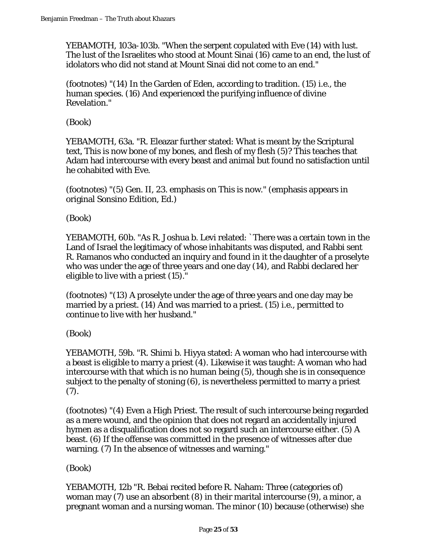YEBAMOTH, 103a-103b. "When the serpent copulated with Eve (14) with lust. The lust of the Israelites who stood at Mount Sinai (16) came to an end, the lust of idolators who did not stand at Mount Sinai did not come to an end."

(footnotes) "(14) In the Garden of Eden, according to tradition. (15) i.e., the human species. (16) And experienced the purifying influence of divine Revelation."

### (Book)

YEBAMOTH, 63a. "R. Eleazar further stated: What is meant by the Scriptural text, This is now bone of my bones, and flesh of my flesh (5)? This teaches that Adam had intercourse with every beast and animal but found no satisfaction until he cohabited with Eve.

(footnotes) "(5) Gen. II, 23. emphasis on This is now." (emphasis appears in original Sonsino Edition, Ed.)

### (Book)

YEBAMOTH, 60b. "As R. Joshua b. Levi related: `There was a certain town in the Land of Israel the legitimacy of whose inhabitants was disputed, and Rabbi sent R. Ramanos who conducted an inquiry and found in it the daughter of a proselyte who was under the age of three years and one day (14), and Rabbi declared her eligible to live with a priest (15)."

(footnotes) "(13) A proselyte under the age of three years and one day may be married by a priest. (14) And was married to a priest. (15) i.e., permitted to continue to live with her husband."

# (Book)

YEBAMOTH, 59b. "R. Shimi b. Hiyya stated: A woman who had intercourse with a beast is eligible to marry a priest (4). Likewise it was taught: A woman who had intercourse with that which is no human being (5), though she is in consequence subject to the penalty of stoning (6), is nevertheless permitted to marry a priest (7).

(footnotes) "(4) Even a High Priest. The result of such intercourse being regarded as a mere wound, and the opinion that does not regard an accidentally injured hymen as a disqualification does not so regard such an intercourse either. (5) A beast. (6) If the offense was committed in the presence of witnesses after due warning. (7) In the absence of witnesses and warning."

# (Book)

YEBAMOTH, 12b "R. Bebai recited before R. Naham: Three (categories of) woman may (7) use an absorbent (8) in their marital intercourse (9), a minor, a pregnant woman and a nursing woman. The minor (10) because (otherwise) she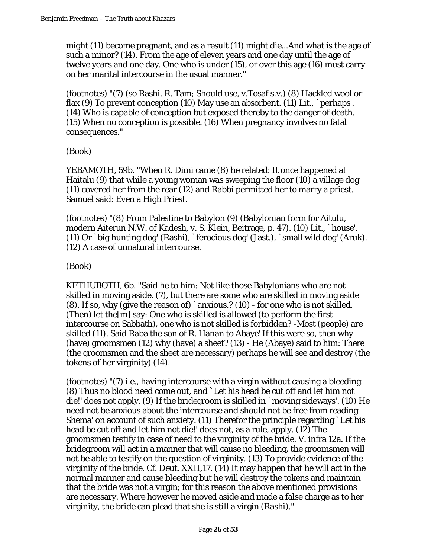might (11) become pregnant, and as a result (11) might die...And what is the age of such a minor? (14). From the age of eleven years and one day until the age of twelve years and one day. One who is under (15), or over this age (16) must carry on her marital intercourse in the usual manner."

(footnotes) "(7) (so Rashi. R. Tam; Should use, v.Tosaf s.v.) (8) Hackled wool or flax (9) To prevent conception (10) May use an absorbent. (11) Lit., `perhaps'. (14) Who is capable of conception but exposed thereby to the danger of death. (15) When no conception is possible. (16) When pregnancy involves no fatal consequences."

### (Book)

YEBAMOTH, 59b. "When R. Dimi came (8) he related: It once happened at Haitalu (9) that while a young woman was sweeping the floor (10) a village dog (11) covered her from the rear (12) and Rabbi permitted her to marry a priest. Samuel said: Even a High Priest.

(footnotes) "(8) From Palestine to Babylon (9) (Babylonian form for Aitulu, modern Aiterun N.W. of Kadesh, v. S. Klein, Beitrage, p. 47). (10) Lit., `house'. (11) Or `big hunting dog' (Rashi), `ferocious dog' (Jast.), `small wild dog' (Aruk). (12) A case of unnatural intercourse.

### (Book)

KETHUBOTH, 6b. "Said he to him: Not like those Babylonians who are not skilled in moving aside. (7), but there are some who are skilled in moving aside (8). If so, why (give the reason of) `anxious.? (10) - for one who is not skilled. (Then) let the  $[m]$  say: One who is skilled is allowed (to perform the first intercourse on Sabbath), one who is not skilled is forbidden? -Most (people) are skilled (11). Said Raba the son of R. Hanan to Abaye' If this were so, then why (have) groomsmen (12) why (have) a sheet? (13) - He (Abaye) said to him: There (the groomsmen and the sheet are necessary) perhaps he will see and destroy (the tokens of her virginity) (14).

(footnotes) "(7) i.e., having intercourse with a virgin without causing a bleeding. (8) Thus no blood need come out, and `Let his head be cut off and let him not die!' does not apply. (9) If the bridegroom is skilled in `moving sideways'. (10) He need not be anxious about the intercourse and should not be free from reading Shema' on account of such anxiety. (11) Therefor the principle regarding `Let his head be cut off and let him not die!' does not, as a rule, apply. (12) The groomsmen testify in case of need to the virginity of the bride. V. infra 12a. If the bridegroom will act in a manner that will cause no bleeding, the groomsmen will not be able to testify on the question of virginity. (13) To provide evidence of the virginity of the bride. Cf. Deut. XXII,17. (14) It may happen that he will act in the normal manner and cause bleeding but he will destroy the tokens and maintain that the bride was not a virgin; for this reason the above mentioned provisions are necessary. Where however he moved aside and made a false charge as to her virginity, the bride can plead that she is still a virgin (Rashi)."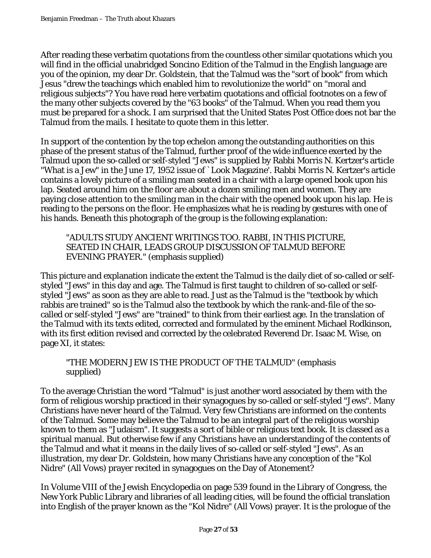After reading these verbatim quotations from the countless other similar quotations which you will find in the official unabridged Soncino Edition of the Talmud in the English language are you of the opinion, my dear Dr. Goldstein, that the Talmud was the "sort of book" from which Jesus "drew the teachings which enabled him to revolutionize the world" on "moral and religious subjects"? You have read here verbatim quotations and official footnotes on a few of the many other subjects covered by the "63 books" of the Talmud. When you read them you must be prepared for a shock. I am surprised that the United States Post Office does not bar the Talmud from the mails. I hesitate to quote them in this letter.

In support of the contention by the top echelon among the outstanding authorities on this phase of the present status of the Talmud, further proof of the wide influence exerted by the Talmud upon the so-called or self-styled "Jews" is supplied by Rabbi Morris N. Kertzer's article "What is a Jew" in the June 17, 1952 issue of `Look Magazine'. Rabbi Morris N. Kertzer's article contains a lovely picture of a smiling man seated in a chair with a large opened book upon his lap. Seated around him on the floor are about a dozen smiling men and women. They are paying close attention to the smiling man in the chair with the opened book upon his lap. He is reading to the persons on the floor. He emphasizes what he is reading by gestures with one of his hands. Beneath this photograph of the group is the following explanation:

"ADULTS STUDY ANCIENT WRITINGS TOO. RABBI, IN THIS PICTURE, SEATED IN CHAIR, LEADS GROUP DISCUSSION OF TALMUD BEFORE EVENING PRAYER." (emphasis supplied)

This picture and explanation indicate the extent the Talmud is the daily diet of so-called or selfstyled "Jews" in this day and age. The Talmud is first taught to children of so-called or selfstyled "Jews" as soon as they are able to read. Just as the Talmud is the "textbook by which rabbis are trained" so is the Talmud also the textbook by which the rank-and-file of the socalled or self-styled "Jews" are "trained" to think from their earliest age. In the translation of the Talmud with its texts edited, corrected and formulated by the eminent Michael Rodkinson, with its first edition revised and corrected by the celebrated Reverend Dr. Isaac M. Wise, on page XI, it states:

# "THE MODERN JEW IS THE PRODUCT OF THE TALMUD" (emphasis supplied)

To the average Christian the word "Talmud" is just another word associated by them with the form of religious worship practiced in their synagogues by so-called or self-styled "Jews". Many Christians have never heard of the Talmud. Very few Christians are informed on the contents of the Talmud. Some may believe the Talmud to be an integral part of the religious worship known to them as "Judaism". It suggests a sort of bible or religious text book. It is classed as a spiritual manual. But otherwise few if any Christians have an understanding of the contents of the Talmud and what it means in the daily lives of so-called or self-styled "Jews". As an illustration, my dear Dr. Goldstein, how many Christians have any conception of the "Kol Nidre" (All Vows) prayer recited in synagogues on the Day of Atonement?

In Volume VIII of the Jewish Encyclopedia on page 539 found in the Library of Congress, the New York Public Library and libraries of all leading cities, will be found the official translation into English of the prayer known as the "Kol Nidre" (All Vows) prayer. It is the prologue of the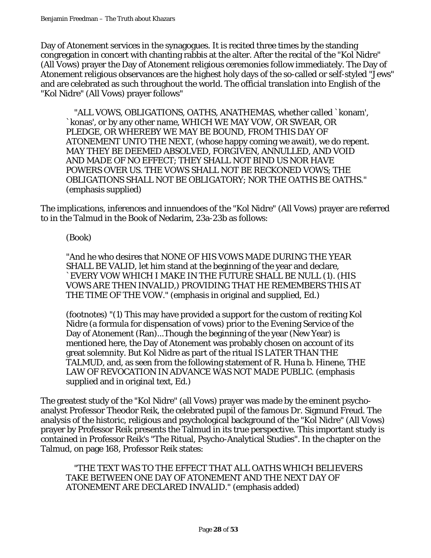Day of Atonement services in the synagogues. It is recited three times by the standing congregation in concert with chanting rabbis at the alter. After the recital of the "Kol Nidre" (All Vows) prayer the Day of Atonement religious ceremonies follow immediately. The Day of Atonement religious observances are the highest holy days of the so-called or self-styled "Jews" and are celebrated as such throughout the world. The official translation into English of the "Kol Nidre" (All Vows) prayer follows"

 "ALL VOWS, OBLIGATIONS, OATHS, ANATHEMAS, whether called `konam', `konas', or by any other name, WHICH WE MAY VOW, OR SWEAR, OR PLEDGE, OR WHEREBY WE MAY BE BOUND, FROM THIS DAY OF ATONEMENT UNTO THE NEXT, (whose happy coming we await), we do repent. MAY THEY BE DEEMED ABSOLVED, FORGIVEN, ANNULLED, AND VOID AND MADE OF NO EFFECT; THEY SHALL NOT BIND US NOR HAVE POWERS OVER US. THE VOWS SHALL NOT BE RECKONED VOWS; THE OBLIGATIONS SHALL NOT BE OBLIGATORY; NOR THE OATHS BE OATHS." (emphasis supplied)

The implications, inferences and innuendoes of the "Kol Nidre" (All Vows) prayer are referred to in the Talmud in the Book of Nedarim, 23a-23b as follows:

### (Book)

"And he who desires that NONE OF HIS VOWS MADE DURING THE YEAR SHALL BE VALID, let him stand at the beginning of the year and declare, `EVERY VOW WHICH I MAKE IN THE FUTURE SHALL BE NULL (1). (HIS VOWS ARE THEN INVALID,) PROVIDING THAT HE REMEMBERS THIS AT THE TIME OF THE VOW." (emphasis in original and supplied, Ed.)

(footnotes) "(1) This may have provided a support for the custom of reciting Kol Nidre (a formula for dispensation of vows) prior to the Evening Service of the Day of Atonement (Ran)...Though the beginning of the year (New Year) is mentioned here, the Day of Atonement was probably chosen on account of its great solemnity. But Kol Nidre as part of the ritual IS LATER THAN THE TALMUD, and, as seen from the following statement of R. Huna b. Hinene, THE LAW OF REVOCATION IN ADVANCE WAS NOT MADE PUBLIC. (emphasis supplied and in original text, Ed.)

The greatest study of the "Kol Nidre" (all Vows) prayer was made by the eminent psychoanalyst Professor Theodor Reik, the celebrated pupil of the famous Dr. Sigmund Freud. The analysis of the historic, religious and psychological background of the "Kol Nidre" (All Vows) prayer by Professor Reik presents the Talmud in its true perspective. This important study is contained in Professor Reik's "The Ritual, Psycho-Analytical Studies". In the chapter on the Talmud, on page 168, Professor Reik states:

 "THE TEXT WAS TO THE EFFECT THAT ALL OATHS WHICH BELIEVERS TAKE BETWEEN ONE DAY OF ATONEMENT AND THE NEXT DAY OF ATONEMENT ARE DECLARED INVALID." (emphasis added)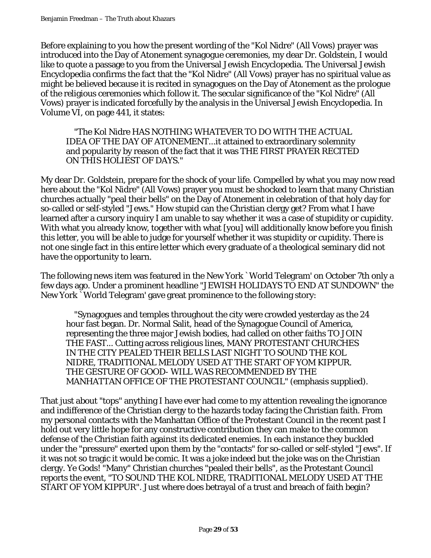Before explaining to you how the present wording of the "Kol Nidre" (All Vows) prayer was introduced into the Day of Atonement synagogue ceremonies, my dear Dr. Goldstein, I would like to quote a passage to you from the Universal Jewish Encyclopedia. The Universal Jewish Encyclopedia confirms the fact that the "Kol Nidre" (All Vows) prayer has no spiritual value as might be believed because it is recited in synagogues on the Day of Atonement as the prologue of the religious ceremonies which follow it. The secular significance of the "Kol Nidre" (All Vows) prayer is indicated forcefully by the analysis in the Universal Jewish Encyclopedia. In Volume VI, on page 441, it states:

 "The Kol Nidre HAS NOTHING WHATEVER TO DO WITH THE ACTUAL IDEA OF THE DAY OF ATONEMENT...it attained to extraordinary solemnity and popularity by reason of the fact that it was THE FIRST PRAYER RECITED ON THIS HOLIEST OF DAYS."

My dear Dr. Goldstein, prepare for the shock of your life. Compelled by what you may now read here about the "Kol Nidre" (All Vows) prayer you must be shocked to learn that many Christian churches actually "peal their bells" on the Day of Atonement in celebration of that holy day for so-called or self-styled "Jews." How stupid can the Christian clergy get? From what I have learned after a cursory inquiry I am unable to say whether it was a case of stupidity or cupidity. With what you already know, together with what [you] will additionally know before you finish this letter, you will be able to judge for yourself whether it was stupidity or cupidity. There is not one single fact in this entire letter which every graduate of a theological seminary did not have the opportunity to learn.

The following news item was featured in the New York `World Telegram' on October 7th only a few days ago. Under a prominent headline "JEWISH HOLIDAYS TO END AT SUNDOWN" the New York `World Telegram' gave great prominence to the following story:

 "Synagogues and temples throughout the city were crowded yesterday as the 24 hour fast began. Dr. Normal Salit, head of the Synagogue Council of America, representing the three major Jewish bodies, had called on other faiths TO JOIN THE FAST... Cutting across religious lines, MANY PROTESTANT CHURCHES IN THE CITY PEALED THEIR BELLS LAST NIGHT TO SOUND THE KOL NIDRE, TRADITIONAL MELODY USED AT THE START OF YOM KIPPUR. THE GESTURE OF GOOD- WILL WAS RECOMMENDED BY THE MANHATTAN OFFICE OF THE PROTESTANT COUNCIL" (emphasis supplied).

That just about "tops" anything I have ever had come to my attention revealing the ignorance and indifference of the Christian clergy to the hazards today facing the Christian faith. From my personal contacts with the Manhattan Office of the Protestant Council in the recent past I hold out very little hope for any constructive contribution they can make to the common defense of the Christian faith against its dedicated enemies. In each instance they buckled under the "pressure" exerted upon them by the "contacts" for so-called or self-styled "Jews". If it was not so tragic it would be comic. It was a joke indeed but the joke was on the Christian clergy. Ye Gods! "Many" Christian churches "pealed their bells", as the Protestant Council reports the event, "TO SOUND THE KOL NIDRE, TRADITIONAL MELODY USED AT THE START OF YOM KIPPUR". Just where does betrayal of a trust and breach of faith begin?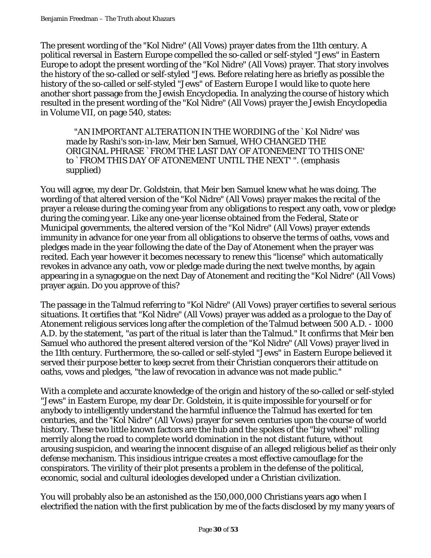The present wording of the "Kol Nidre" (All Vows) prayer dates from the 11th century. A political reversal in Eastern Europe compelled the so-called or self-styled "Jews" in Eastern Europe to adopt the present wording of the "Kol Nidre" (All Vows) prayer. That story involves the history of the so-called or self-styled "Jews. Before relating here as briefly as possible the history of the so-called or self-styled "Jews" of Eastern Europe I would like to quote here another short passage from the Jewish Encyclopedia. In analyzing the course of history which resulted in the present wording of the "Kol Nidre" (All Vows) prayer the Jewish Encyclopedia in Volume VII, on page 540, states:

 "AN IMPORTANT ALTERATION IN THE WORDING of the `Kol Nidre' was made by Rashi's son-in-law, Meir ben Samuel, WHO CHANGED THE ORIGINAL PHRASE `FROM THE LAST DAY OF ATONEMENT TO THIS ONE' to `FROM THIS DAY OF ATONEMENT UNTIL THE NEXT' ". (emphasis supplied)

You will agree, my dear Dr. Goldstein, that Meir ben Samuel knew what he was doing. The wording of that altered version of the "Kol Nidre" (All Vows) prayer makes the recital of the prayer a release during the coming year from any obligations to respect any oath, vow or pledge during the coming year. Like any one-year license obtained from the Federal, State or Municipal governments, the altered version of the "Kol Nidre" (All Vows) prayer extends immunity in advance for one year from all obligations to observe the terms of oaths, vows and pledges made in the year following the date of the Day of Atonement when the prayer was recited. Each year however it becomes necessary to renew this "license" which automatically revokes in advance any oath, vow or pledge made during the next twelve months, by again appearing in a synagogue on the next Day of Atonement and reciting the "Kol Nidre" (All Vows) prayer again. Do you approve of this?

The passage in the Talmud referring to "Kol Nidre" (All Vows) prayer certifies to several serious situations. It certifies that "Kol Nidre" (All Vows) prayer was added as a prologue to the Day of Atonement religious services long after the completion of the Talmud between 500 A.D. - 1000 A.D. by the statement, "as part of the ritual is later than the Talmud." It confirms that Meir ben Samuel who authored the present altered version of the "Kol Nidre" (All Vows) prayer lived in the 11th century. Furthermore, the so-called or self-styled "Jews" in Eastern Europe believed it served their purpose better to keep secret from their Christian conquerors their attitude on oaths, vows and pledges, "the law of revocation in advance was not made public."

With a complete and accurate knowledge of the origin and history of the so-called or self-styled "Jews" in Eastern Europe, my dear Dr. Goldstein, it is quite impossible for yourself or for anybody to intelligently understand the harmful influence the Talmud has exerted for ten centuries, and the "Kol Nidre" (All Vows) prayer for seven centuries upon the course of world history. These two little known factors are the hub and the spokes of the "big wheel" rolling merrily along the road to complete world domination in the not distant future, without arousing suspicion, and wearing the innocent disguise of an alleged religious belief as their only defense mechanism. This insidious intrigue creates a most effective camouflage for the conspirators. The virility of their plot presents a problem in the defense of the political, economic, social and cultural ideologies developed under a Christian civilization.

You will probably also be an astonished as the 150,000,000 Christians years ago when I electrified the nation with the first publication by me of the facts disclosed by my many years of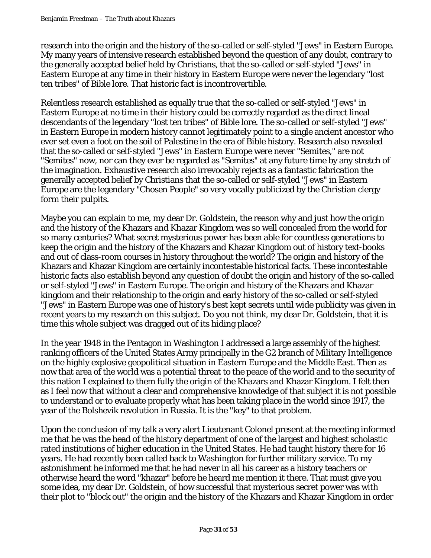research into the origin and the history of the so-called or self-styled "Jews" in Eastern Europe. My many years of intensive research established beyond the question of any doubt, contrary to the generally accepted belief held by Christians, that the so-called or self-styled "Jews" in Eastern Europe at any time in their history in Eastern Europe were never the legendary "lost ten tribes" of Bible lore. That historic fact is incontrovertible.

Relentless research established as equally true that the so-called or self-styled "Jews" in Eastern Europe at no time in their history could be correctly regarded as the direct lineal descendants of the legendary "lost ten tribes" of Bible lore. The so-called or self-styled "Jews" in Eastern Europe in modern history cannot legitimately point to a single ancient ancestor who ever set even a foot on the soil of Palestine in the era of Bible history. Research also revealed that the so-called or self-styled "Jews" in Eastern Europe were never "Semites," are not "Semites" now, nor can they ever be regarded as "Semites" at any future time by any stretch of the imagination. Exhaustive research also irrevocably rejects as a fantastic fabrication the generally accepted belief by Christians that the so-called or self-styled "Jews" in Eastern Europe are the legendary "Chosen People" so very vocally publicized by the Christian clergy form their pulpits.

Maybe you can explain to me, my dear Dr. Goldstein, the reason why and just how the origin and the history of the Khazars and Khazar Kingdom was so well concealed from the world for so many centuries? What secret mysterious power has been able for countless generations to keep the origin and the history of the Khazars and Khazar Kingdom out of history text-books and out of class-room courses in history throughout the world? The origin and history of the Khazars and Khazar Kingdom are certainly incontestable historical facts. These incontestable historic facts also establish beyond any question of doubt the origin and history of the so-called or self-styled "Jews" in Eastern Europe. The origin and history of the Khazars and Khazar kingdom and their relationship to the origin and early history of the so-called or self-styled "Jews" in Eastern Europe was one of history's best kept secrets until wide publicity was given in recent years to my research on this subject. Do you not think, my dear Dr. Goldstein, that it is time this whole subject was dragged out of its hiding place?

In the year 1948 in the Pentagon in Washington I addressed a large assembly of the highest ranking officers of the United States Army principally in the G2 branch of Military Intelligence on the highly explosive geopolitical situation in Eastern Europe and the Middle East. Then as now that area of the world was a potential threat to the peace of the world and to the security of this nation I explained to them fully the origin of the Khazars and Khazar Kingdom. I felt then as I feel now that without a clear and comprehensive knowledge of that subject it is not possible to understand or to evaluate properly what has been taking place in the world since 1917, the year of the Bolshevik revolution in Russia. It is the "key" to that problem.

Upon the conclusion of my talk a very alert Lieutenant Colonel present at the meeting informed me that he was the head of the history department of one of the largest and highest scholastic rated institutions of higher education in the United States. He had taught history there for 16 years. He had recently been called back to Washington for further military service. To my astonishment he informed me that he had never in all his career as a history teachers or otherwise heard the word "khazar" before he heard me mention it there. That must give you some idea, my dear Dr. Goldstein, of how successful that mysterious secret power was with their plot to "block out" the origin and the history of the Khazars and Khazar Kingdom in order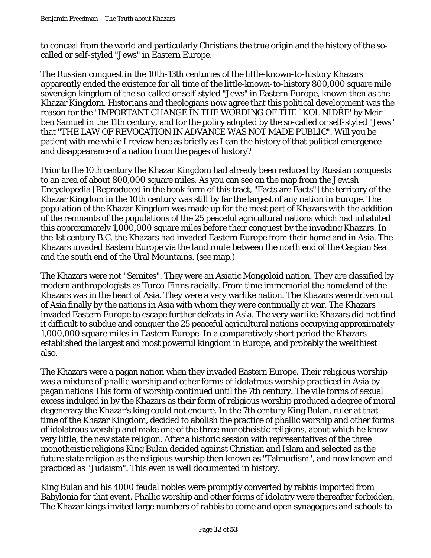to conceal from the world and particularly Christians the true origin and the history of the socalled or self-styled "Jews" in Eastern Europe.

The Russian conquest in the 10th-13th centuries of the little-known-to-history Khazars apparently ended the existence for all time of the little-known-to-history 800,000 square mile sovereign kingdom of the so-called or self-styled "Jews" in Eastern Europe, known then as the Khazar Kingdom. Historians and theologians now agree that this political development was the reason for the "IMPORTANT CHANGE IN THE WORDING OF THE `KOL NIDRE' by Meir ben Samuel in the 11th century, and for the policy adopted by the so-called or self-styled "Jews" that "THE LAW OF REVOCATION IN ADVANCE WAS NOT MADE PUBLIC". Will you be patient with me while I review here as briefly as I can the history of that political emergence and disappearance of a nation from the pages of history?

Prior to the 10th century the Khazar Kingdom had already been reduced by Russian conquests to an area of about 800,000 square miles. As you can see on the map from the Jewish Encyclopedia [Reproduced in the book form of this tract, "Facts are Facts"] the territory of the Khazar Kingdom in the 10th century was still by far the largest of any nation in Europe. The population of the Khazar Kingdom was made up for the most part of Khazars with the addition of the remnants of the populations of the 25 peaceful agricultural nations which had inhabited this approximately 1,000,000 square miles before their conquest by the invading Khazars. In the 1st century B.C. the Khazars had invaded Eastern Europe from their homeland in Asia. The Khazars invaded Eastern Europe via the land route between the north end of the Caspian Sea and the south end of the Ural Mountains. (see map.)

The Khazars were not "Semites". They were an Asiatic Mongoloid nation. They are classified by modern anthropologists as Turco-Finns racially. From time immemorial the homeland of the Khazars was in the heart of Asia. They were a very warlike nation. The Khazars were driven out of Asia finally by the nations in Asia with whom they were continually at war. The Khazars invaded Eastern Europe to escape further defeats in Asia. The very warlike Khazars did not find it difficult to subdue and conquer the 25 peaceful agricultural nations occupying approximately 1,000,000 square miles in Eastern Europe. In a comparatively short period the Khazars established the largest and most powerful kingdom in Europe, and probably the wealthiest also.

The Khazars were a pagan nation when they invaded Eastern Europe. Their religious worship was a mixture of phallic worship and other forms of idolatrous worship practiced in Asia by pagan nations This form of worship continued until the 7th century. The vile forms of sexual excess indulged in by the Khazars as their form of religious worship produced a degree of moral degeneracy the Khazar's king could not endure. In the 7th century King Bulan, ruler at that time of the Khazar Kingdom, decided to abolish the practice of phallic worship and other forms of idolatrous worship and make one of the three monotheistic religions, about which he knew very little, the new state religion. After a historic session with representatives of the three monotheistic religions King Bulan decided against Christian and Islam and selected as the future state religion as the religious worship then known as "Talmudism", and now known and practiced as "Judaism". This even is well documented in history.

King Bulan and his 4000 feudal nobles were promptly converted by rabbis imported from Babylonia for that event. Phallic worship and other forms of idolatry were thereafter forbidden. The Khazar kings invited large numbers of rabbis to come and open synagogues and schools to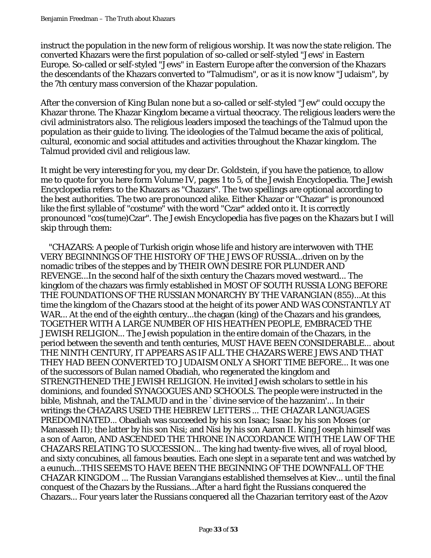instruct the population in the new form of religious worship. It was now the state religion. The converted Khazars were the first population of so-called or self-styled "Jews' in Eastern Europe. So-called or self-styled "Jews" in Eastern Europe after the conversion of the Khazars the descendants of the Khazars converted to "Talmudism", or as it is now know "Judaism", by the 7th century mass conversion of the Khazar population.

After the conversion of King Bulan none but a so-called or self-styled "Jew" could occupy the Khazar throne. The Khazar Kingdom became a virtual theocracy. The religious leaders were the civil administrators also. The religious leaders imposed the teachings of the Talmud upon the population as their guide to living. The ideologies of the Talmud became the axis of political, cultural, economic and social attitudes and activities throughout the Khazar kingdom. The Talmud provided civil and religious law.

It might be very interesting for you, my dear Dr. Goldstein, if you have the patience, to allow me to quote for you here form Volume IV, pages 1 to 5, of the Jewish Encyclopedia. The Jewish Encyclopedia refers to the Khazars as "Chazars". The two spellings are optional according to the best authorities. The two are pronounced alike. Either Khazar or "Chazar" is pronounced like the first syllable of "costume" with the word "Czar" added onto it. It is correctly pronounced "cos(tume)Czar". The Jewish Encyclopedia has five pages on the Khazars but I will skip through them:

 "CHAZARS: A people of Turkish origin whose life and history are interwoven with THE VERY BEGINNINGS OF THE HISTORY OF THE JEWS OF RUSSIA...driven on by the nomadic tribes of the steppes and by THEIR OWN DESIRE FOR PLUNDER AND REVENGE...In the second half of the sixth century the Chazars moved westward... The kingdom of the chazars was firmly established in MOST OF SOUTH RUSSIA LONG BEFORE THE FOUNDATIONS OF THE RUSSIAN MONARCHY BY THE VARANGIAN (855)...At this time the kingdom of the Chazars stood at the height of its power AND WAS CONSTANTLY AT WAR... At the end of the eighth century...the chagan (king) of the Chazars and his grandees, TOGETHER WITH A LARGE NUMBER OF HIS HEATHEN PEOPLE, EMBRACED THE JEWISH RELIGION... The Jewish population in the entire domain of the Chazars, in the period between the seventh and tenth centuries, MUST HAVE BEEN CONSIDERABLE... about THE NINTH CENTURY, IT APPEARS AS IF ALL THE CHAZARS WERE JEWS AND THAT THEY HAD BEEN CONVERTED TO JUDAISM ONLY A SHORT TIME BEFORE... It was one of the successors of Bulan named Obadiah, who regenerated the kingdom and STRENGTHENED THE JEWISH RELIGION. He invited Jewish scholars to settle in his dominions, and founded SYNAGOGUES AND SCHOOLS. The people were instructed in the bible, Mishnah, and the TALMUD and in the `divine service of the hazzanim'... In their writings the CHAZARS USED THE HEBREW LETTERS ... THE CHAZAR LANGUAGES PREDOMINATED... Obadiah was succeeded by his son Isaac; Isaac by his son Moses (or Manasseh II); the latter by his son Nisi; and Nisi by his son Aaron II. King Joseph himself was a son of Aaron, AND ASCENDED THE THRONE IN ACCORDANCE WITH THE LAW OF THE CHAZARS RELATING TO SUCCESSION... The king had twenty-five wives, all of royal blood, and sixty concubines, all famous beauties. Each one slept in a separate tent and was watched by a eunuch...THIS SEEMS TO HAVE BEEN THE BEGINNING OF THE DOWNFALL OF THE CHAZAR KINGDOM ... The Russian Varangians established themselves at Kiev... until the final conquest of the Chazars by the Russians...After a hard fight the Russians conquered the Chazars... Four years later the Russians conquered all the Chazarian territory east of the Azov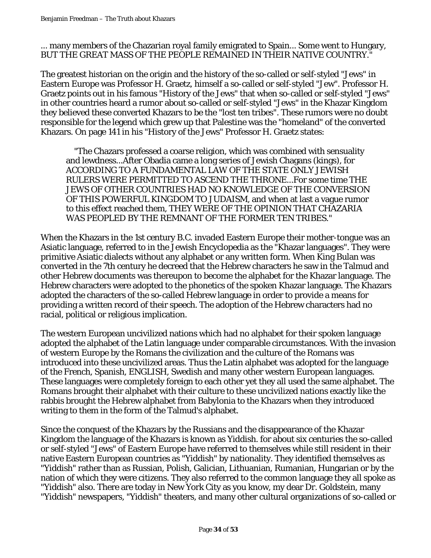... many members of the Chazarian royal family emigrated to Spain... Some went to Hungary, BUT THE GREAT MASS OF THE PEOPLE REMAINED IN THEIR NATIVE COUNTRY."

The greatest historian on the origin and the history of the so-called or self-styled "Jews" in Eastern Europe was Professor H. Graetz, himself a so-called or self-styled "Jew". Professor H. Graetz points out in his famous "History of the Jews" that when so-called or self-styled "Jews" in other countries heard a rumor about so-called or self-styled "Jews" in the Khazar Kingdom they believed these converted Khazars to be the "lost ten tribes". These rumors were no doubt responsible for the legend which grew up that Palestine was the "homeland" of the converted Khazars. On page 141 in his "History of the Jews" Professor H. Graetz states:

 "The Chazars professed a coarse religion, which was combined with sensuality and lewdness...After Obadia came a long series of Jewish Chagans (kings), for ACCORDING TO A FUNDAMENTAL LAW OF THE STATE ONLY JEWISH RULERS WERE PERMITTED TO ASCEND THE THRONE...For some time THE JEWS OF OTHER COUNTRIES HAD NO KNOWLEDGE OF THE CONVERSION OF THIS POWERFUL KINGDOM TO JUDAISM, and when at last a vague rumor to this effect reached them, THEY WERE OF THE OPINION THAT CHAZARIA WAS PEOPLED BY THE REMNANT OF THE FORMER TEN TRIBES."

When the Khazars in the 1st century B.C. invaded Eastern Europe their mother-tongue was an Asiatic language, referred to in the Jewish Encyclopedia as the "Khazar languages". They were primitive Asiatic dialects without any alphabet or any written form. When King Bulan was converted in the 7th century he decreed that the Hebrew characters he saw in the Talmud and other Hebrew documents was thereupon to become the alphabet for the Khazar language. The Hebrew characters were adopted to the phonetics of the spoken Khazar language. The Khazars adopted the characters of the so-called Hebrew language in order to provide a means for providing a written record of their speech. The adoption of the Hebrew characters had no racial, political or religious implication.

The western European uncivilized nations which had no alphabet for their spoken language adopted the alphabet of the Latin language under comparable circumstances. With the invasion of western Europe by the Romans the civilization and the culture of the Romans was introduced into these uncivilized areas. Thus the Latin alphabet was adopted for the language of the French, Spanish, ENGLISH, Swedish and many other western European languages. These languages were completely foreign to each other yet they all used the same alphabet. The Romans brought their alphabet with their culture to these uncivilized nations exactly like the rabbis brought the Hebrew alphabet from Babylonia to the Khazars when they introduced writing to them in the form of the Talmud's alphabet.

Since the conquest of the Khazars by the Russians and the disappearance of the Khazar Kingdom the language of the Khazars is known as Yiddish. for about six centuries the so-called or self-styled "Jews" of Eastern Europe have referred to themselves while still resident in their native Eastern European countries as "Yiddish" by nationality. They identified themselves as "Yiddish" rather than as Russian, Polish, Galician, Lithuanian, Rumanian, Hungarian or by the nation of which they were citizens. They also referred to the common language they all spoke as "Yiddish" also. There are today in New York City as you know, my dear Dr. Goldstein, many "Yiddish" newspapers, "Yiddish" theaters, and many other cultural organizations of so-called or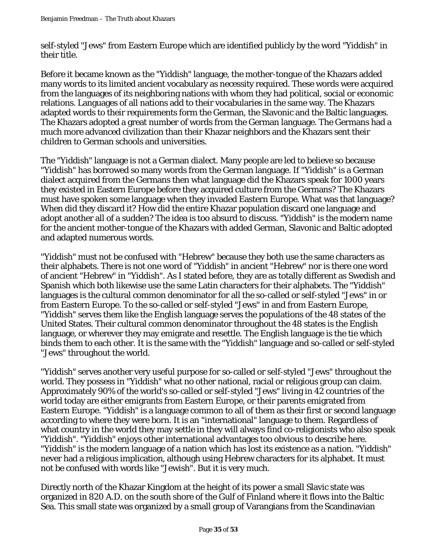self-styled "Jews" from Eastern Europe which are identified publicly by the word "Yiddish" in their title.

Before it became known as the "Yiddish" language, the mother-tongue of the Khazars added many words to its limited ancient vocabulary as necessity required. These words were acquired from the languages of its neighboring nations with whom they had political, social or economic relations. Languages of all nations add to their vocabularies in the same way. The Khazars adapted words to their requirements form the German, the Slavonic and the Baltic languages. The Khazars adopted a great number of words from the German language. The Germans had a much more advanced civilization than their Khazar neighbors and the Khazars sent their children to German schools and universities.

The "Yiddish" language is not a German dialect. Many people are led to believe so because "Yiddish" has borrowed so many words from the German language. If "Yiddish" is a German dialect acquired from the Germans then what language did the Khazars speak for 1000 years they existed in Eastern Europe before they acquired culture from the Germans? The Khazars must have spoken some language when they invaded Eastern Europe. What was that language? When did they discard it? How did the entire Khazar population discard one language and adopt another all of a sudden? The idea is too absurd to discuss. "Yiddish" is the modern name for the ancient mother-tongue of the Khazars with added German, Slavonic and Baltic adopted and adapted numerous words.

"Yiddish" must not be confused with "Hebrew" because they both use the same characters as their alphabets. There is not one word of "Yiddish" in ancient "Hebrew" nor is there one word of ancient "Hebrew" in "Yiddish". As I stated before, they are as totally different as Swedish and Spanish which both likewise use the same Latin characters for their alphabets. The "Yiddish" languages is the cultural common denominator for all the so-called or self-styled "Jews" in or from Eastern Europe. To the so-called or self-styled "Jews" in and from Eastern Europe, "Yiddish" serves them like the English language serves the populations of the 48 states of the United States. Their cultural common denominator throughout the 48 states is the English language, or wherever they may emigrate and resettle. The English language is the tie which binds them to each other. It is the same with the "Yiddish" language and so-called or self-styled "Jews" throughout the world.

"Yiddish" serves another very useful purpose for so-called or self-styled "Jews" throughout the world. They possess in "Yiddish" what no other national, racial or religious group can claim. Approximately 90% of the world's so-called or self-styled "Jews" living in 42 countries of the world today are either emigrants from Eastern Europe, or their parents emigrated from Eastern Europe. "Yiddish" is a language common to all of them as their first or second language according to where they were born. It is an "international" language to them. Regardless of what country in the world they may settle in they will always find co-religionists who also speak "Yiddish". "Yiddish" enjoys other international advantages too obvious to describe here. "Yiddish" is the modern language of a nation which has lost its existence as a nation. "Yiddish" never had a religious implication, although using Hebrew characters for its alphabet. It must not be confused with words like "Jewish". But it is very much.

Directly north of the Khazar Kingdom at the height of its power a small Slavic state was organized in 820 A.D. on the south shore of the Gulf of Finland where it flows into the Baltic Sea. This small state was organized by a small group of Varangians from the Scandinavian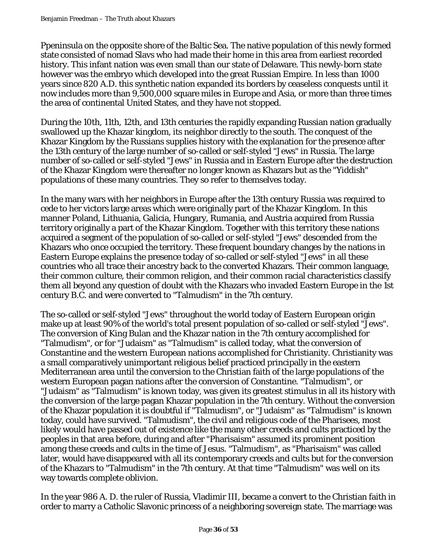Ppeninsula on the opposite shore of the Baltic Sea. The native population of this newly formed state consisted of nomad Slavs who had made their home in this area from earliest recorded history. This infant nation was even small than our state of Delaware. This newly-born state however was the embryo which developed into the great Russian Empire. In less than 1000 years since 820 A.D. this synthetic nation expanded its borders by ceaseless conquests until it now includes more than 9,500,000 square miles in Europe and Asia, or more than three times the area of continental United States, and they have not stopped.

During the 10th, 11th, 12th, and 13th centuries the rapidly expanding Russian nation gradually swallowed up the Khazar kingdom, its neighbor directly to the south. The conquest of the Khazar Kingdom by the Russians supplies history with the explanation for the presence after the 13th century of the large number of so-called or self-styled "Jews" in Russia. The large number of so-called or self-styled "Jews" in Russia and in Eastern Europe after the destruction of the Khazar Kingdom were thereafter no longer known as Khazars but as the "Yiddish" populations of these many countries. They so refer to themselves today.

In the many wars with her neighbors in Europe after the 13th century Russia was required to cede to her victors large areas which were originally part of the Khazar Kingdom. In this manner Poland, Lithuania, Galicia, Hungary, Rumania, and Austria acquired from Russia territory originally a part of the Khazar Kingdom. Together with this territory these nations acquired a segment of the population of so-called or self-styled "Jews" descended from the Khazars who once occupied the territory. These frequent boundary changes by the nations in Eastern Europe explains the presence today of so-called or self-styled "Jews" in all these countries who all trace their ancestry back to the converted Khazars. Their common language, their common culture, their common religion, and their common racial characteristics classify them all beyond any question of doubt with the Khazars who invaded Eastern Europe in the 1st century B.C. and were converted to "Talmudism" in the 7th century.

The so-called or self-styled "Jews" throughout the world today of Eastern European origin make up at least 90% of the world's total present population of so-called or self-styled "Jews". The conversion of King Bulan and the Khazar nation in the 7th century accomplished for "Talmudism", or for "Judaism" as "Talmudism" is called today, what the conversion of Constantine and the western European nations accomplished for Christianity. Christianity was a small comparatively unimportant religious belief practiced principally in the eastern Mediterranean area until the conversion to the Christian faith of the large populations of the western European pagan nations after the conversion of Constantine. "Talmudism", or "Judaism" as "Talmudism" is known today, was given its greatest stimulus in all its history with the conversion of the large pagan Khazar population in the 7th century. Without the conversion of the Khazar population it is doubtful if "Talmudism", or "Judaism" as "Talmudism" is known today, could have survived. "Talmudism", the civil and religious code of the Pharisees, most likely would have passed out of existence like the many other creeds and cults practiced by the peoples in that area before, during and after "Pharisaism" assumed its prominent position among these creeds and cults in the time of Jesus. "Talmudism", as "Pharisaism" was called later, would have disappeared with all its contemporary creeds and cults but for the conversion of the Khazars to "Talmudism" in the 7th century. At that time "Talmudism" was well on its way towards complete oblivion.

In the year 986 A. D. the ruler of Russia, Vladimir III, became a convert to the Christian faith in order to marry a Catholic Slavonic princess of a neighboring sovereign state. The marriage was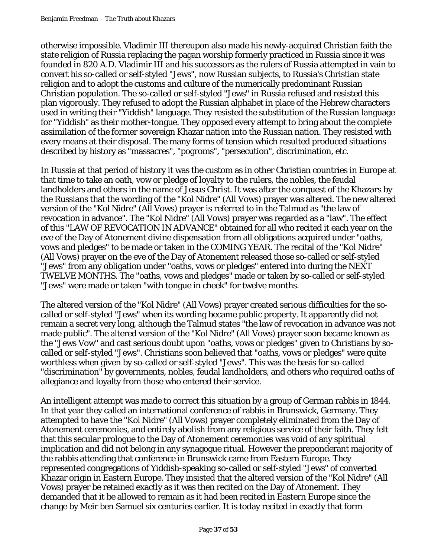otherwise impossible. Vladimir III thereupon also made his newly-acquired Christian faith the state religion of Russia replacing the pagan worship formerly practiced in Russia since it was founded in 820 A.D. Vladimir III and his successors as the rulers of Russia attempted in vain to convert his so-called or self-styled "Jews", now Russian subjects, to Russia's Christian state religion and to adopt the customs and culture of the numerically predominant Russian Christian population. The so-called or self-styled "Jews" in Russia refused and resisted this plan vigorously. They refused to adopt the Russian alphabet in place of the Hebrew characters used in writing their "Yiddish" language. They resisted the substitution of the Russian language for "Yiddish" as their mother-tongue. They opposed every attempt to bring about the complete assimilation of the former sovereign Khazar nation into the Russian nation. They resisted with every means at their disposal. The many forms of tension which resulted produced situations described by history as "massacres", "pogroms", "persecution", discrimination, etc.

In Russia at that period of history it was the custom as in other Christian countries in Europe at that time to take an oath, vow or pledge of loyalty to the rulers, the nobles, the feudal landholders and others in the name of Jesus Christ. It was after the conquest of the Khazars by the Russians that the wording of the "Kol Nidre" (All Vows) prayer was altered. The new altered version of the "Kol Nidre" (All Vows) prayer is referred to in the Talmud as "the law of revocation in advance". The "Kol Nidre" (All Vows) prayer was regarded as a "law". The effect of this "LAW OF REVOCATION IN ADVANCE" obtained for all who recited it each year on the eve of the Day of Atonement divine dispensation from all obligations acquired under "oaths, vows and pledges" to be made or taken in the COMING YEAR. The recital of the "Kol Nidre" (All Vows) prayer on the eve of the Day of Atonement released those so-called or self-styled "Jews" from any obligation under "oaths, vows or pledges" entered into during the NEXT TWELVE MONTHS. The "oaths, vows and pledges" made or taken by so-called or self-styled "Jews" were made or taken "with tongue in cheek" for twelve months.

The altered version of the "Kol Nidre" (All Vows) prayer created serious difficulties for the socalled or self-styled "Jews" when its wording became public property. It apparently did not remain a secret very long, although the Talmud states "the law of revocation in advance was not made public". The altered version of the "Kol Nidre" (All Vows) prayer soon became known as the "Jews Vow" and cast serious doubt upon "oaths, vows or pledges" given to Christians by socalled or self-styled "Jews". Christians soon believed that "oaths, vows or pledges" were quite worthless when given by so-called or self-styled "Jews". This was the basis for so-called "discrimination" by governments, nobles, feudal landholders, and others who required oaths of allegiance and loyalty from those who entered their service.

An intelligent attempt was made to correct this situation by a group of German rabbis in 1844. In that year they called an international conference of rabbis in Brunswick, Germany. They attempted to have the "Kol Nidre" (All Vows) prayer completely eliminated from the Day of Atonement ceremonies, and entirely abolish from any religious service of their faith. They felt that this secular prologue to the Day of Atonement ceremonies was void of any spiritual implication and did not belong in any synagogue ritual. However the preponderant majority of the rabbis attending that conference in Brunswick came from Eastern Europe. They represented congregations of Yiddish-speaking so-called or self-styled "Jews" of converted Khazar origin in Eastern Europe. They insisted that the altered version of the "Kol Nidre" (All Vows) prayer be retained exactly as it was then recited on the Day of Atonement. They demanded that it be allowed to remain as it had been recited in Eastern Europe since the change by Meir ben Samuel six centuries earlier. It is today recited in exactly that form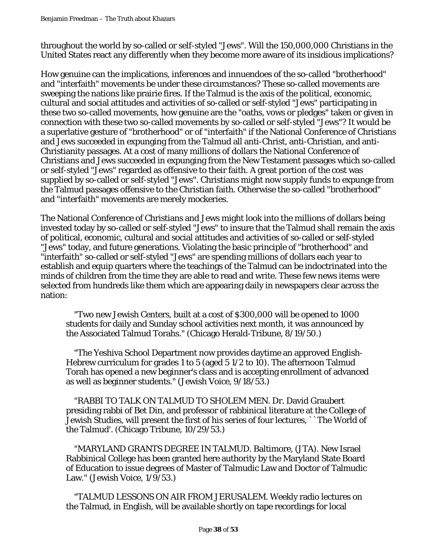throughout the world by so-called or self-styled "Jews". Will the 150,000,000 Christians in the United States react any differently when they become more aware of its insidious implications?

How genuine can the implications, inferences and innuendoes of the so-called "brotherhood" and "interfaith" movements be under these circumstances? These so-called movements are sweeping the nations like prairie fires. If the Talmud is the axis of the political, economic, cultural and social attitudes and activities of so-called or self-styled "Jews" participating in these two so-called movements, how genuine are the "oaths, vows or pledges" taken or given in connection with these two so-called movements by so-called or self-styled "Jews"? It would be a superlative gesture of "brotherhood" or of "interfaith" if the National Conference of Christians and Jews succeeded in expunging from the Talmud all anti-Christ, anti-Christian, and anti-Christianity passages. At a cost of many millions of dollars the National Conference of Christians and Jews succeeded in expunging from the New Testament passages which so-called or self-styled "Jews" regarded as offensive to their faith. A great portion of the cost was supplied by so-called or self-styled "Jews". Christians might now supply funds to expunge from the Talmud passages offensive to the Christian faith. Otherwise the so-called "brotherhood" and "interfaith" movements are merely mockeries.

The National Conference of Christians and Jews might look into the millions of dollars being invested today by so-called or self-styled "Jews" to insure that the Talmud shall remain the axis of political, economic, cultural and social attitudes and activities of so-called or self-styled "Jews" today, and future generations. Violating the basic principle of "brotherhood" and "interfaith" so-called or self-styled "Jews" are spending millions of dollars each year to establish and equip quarters where the teachings of the Talmud can be indoctrinated into the minds of children from the time they are able to read and write. These few news items were selected from hundreds like them which are appearing daily in newspapers clear across the nation:

 "Two new Jewish Centers, built at a cost of \$300,000 will be opened to 1000 students for daily and Sunday school activities next month, it was announced by the Associated Talmud Torahs." (Chicago Herald-Tribune, 8/19/50.)

 "The Yeshiva School Department now provides daytime an approved English-Hebrew curriculum for grades 1 to 5 (aged 5 1/2 to 10). The afternoon Talmud Torah has opened a new beginner's class and is accepting enrollment of advanced as well as beginner students." (Jewish Voice, 9/18/53.)

 "RABBI TO TALK ON TALMUD TO SHOLEM MEN. Dr. David Graubert presiding rabbi of Bet Din, and professor of rabbinical literature at the College of Jewish Studies, will present the first of his series of four lectures, ``The World of the Talmud'. (Chicago Tribune, 10/29/53.)

 "MARYLAND GRANTS DEGREE IN TALMUD. Baltimore, (JTA). New Israel Rabbinical College has been granted here authority by the Maryland State Board of Education to issue degrees of Master of Talmudic Law and Doctor of Talmudic Law." (Jewish Voice, 1/9/53.)

 "TALMUD LESSONS ON AIR FROM JERUSALEM. Weekly radio lectures on the Talmud, in English, will be available shortly on tape recordings for local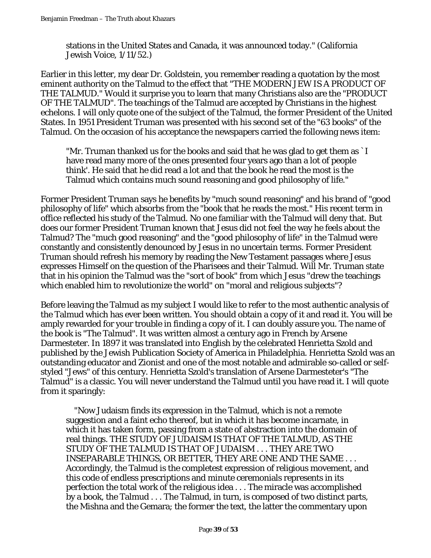stations in the United States and Canada, it was announced today." (California Jewish Voice, 1/11/52.)

Earlier in this letter, my dear Dr. Goldstein, you remember reading a quotation by the most eminent authority on the Talmud to the effect that "THE MODERN JEW IS A PRODUCT OF THE TALMUD." Would it surprise you to learn that many Christians also are the "PRODUCT OF THE TALMUD". The teachings of the Talmud are accepted by Christians in the highest echelons. I will only quote one of the subject of the Talmud, the former President of the United States. In 1951 President Truman was presented with his second set of the "63 books" of the Talmud. On the occasion of his acceptance the newspapers carried the following news item:

"Mr. Truman thanked us for the books and said that he was glad to get them as `I have read many more of the ones presented four years ago than a lot of people think'. He said that he did read a lot and that the book he read the most is the Talmud which contains much sound reasoning and good philosophy of life."

Former President Truman says he benefits by "much sound reasoning" and his brand of "good philosophy of life" which absorbs from the "book that he reads the most." His recent term in office reflected his study of the Talmud. No one familiar with the Talmud will deny that. But does our former President Truman known that Jesus did not feel the way he feels about the Talmud? The "much good reasoning" and the "good philosophy of life" in the Talmud were constantly and consistently denounced by Jesus in no uncertain terms. Former President Truman should refresh his memory by reading the New Testament passages where Jesus expresses Himself on the question of the Pharisees and their Talmud. Will Mr. Truman state that in his opinion the Talmud was the "sort of book" from which Jesus "drew the teachings which enabled him to revolutionize the world" on "moral and religious subjects"?

Before leaving the Talmud as my subject I would like to refer to the most authentic analysis of the Talmud which has ever been written. You should obtain a copy of it and read it. You will be amply rewarded for your trouble in finding a copy of it. I can doubly assure you. The name of the book is "The Talmud". It was written almost a century ago in French by Arsene Darmesteter. In 1897 it was translated into English by the celebrated Henrietta Szold and published by the Jewish Publication Society of America in Philadelphia. Henrietta Szold was an outstanding educator and Zionist and one of the most notable and admirable so-called or selfstyled "Jews" of this century. Henrietta Szold's translation of Arsene Darmesteter's "The Talmud" is a classic. You will never understand the Talmud until you have read it. I will quote from it sparingly:

 "Now Judaism finds its expression in the Talmud, which is not a remote suggestion and a faint echo thereof, but in which it has become incarnate, in which it has taken form, passing from a state of abstraction into the domain of real things. THE STUDY OF JUDAISM IS THAT OF THE TALMUD, AS THE STUDY OF THE TALMUD IS THAT OF JUDAISM . . . THEY ARE TWO INSEPARABLE THINGS, OR BETTER, THEY ARE ONE AND THE SAME . . . Accordingly, the Talmud is the completest expression of religious movement, and this code of endless prescriptions and minute ceremonials represents in its perfection the total work of the religious idea . . . The miracle was accomplished by a book, the Talmud . . . The Talmud, in turn, is composed of two distinct parts, the Mishna and the Gemara; the former the text, the latter the commentary upon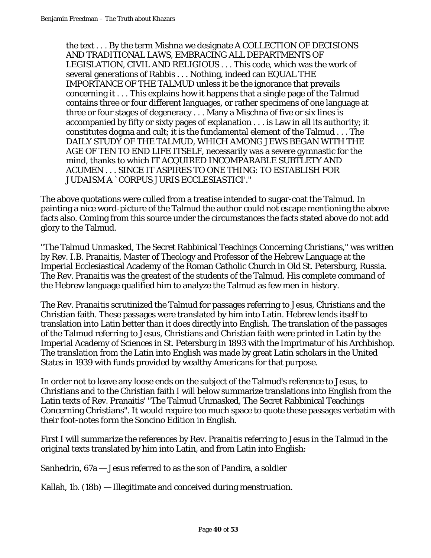the text . . . By the term Mishna we designate A COLLECTION OF DECISIONS AND TRADITIONAL LAWS, EMBRACING ALL DEPARTMENTS OF LEGISLATION, CIVIL AND RELIGIOUS . . . This code, which was the work of several generations of Rabbis . . . Nothing, indeed can EQUAL THE IMPORTANCE OF THE TALMUD unless it be the ignorance that prevails concerning it . . . This explains how it happens that a single page of the Talmud contains three or four different languages, or rather specimens of one language at three or four stages of degeneracy . . . Many a Mischna of five or six lines is accompanied by fifty or sixty pages of explanation . . . is Law in all its authority; it constitutes dogma and cult; it is the fundamental element of the Talmud . . . The DAILY STUDY OF THE TALMUD, WHICH AMONG JEWS BEGAN WITH THE AGE OF TEN TO END LIFE ITSELF, necessarily was a severe gymnastic for the mind, thanks to which IT ACQUIRED INCOMPARABLE SUBTLETY AND ACUMEN . . . SINCE IT ASPIRES TO ONE THING: TO ESTABLISH FOR JUDAISM A `CORPUS JURIS ECCLESIASTICI'."

The above quotations were culled from a treatise intended to sugar-coat the Talmud. In painting a nice word-picture of the Talmud the author could not escape mentioning the above facts also. Coming from this source under the circumstances the facts stated above do not add glory to the Talmud.

"The Talmud Unmasked, The Secret Rabbinical Teachings Concerning Christians," was written by Rev. I.B. Pranaitis, Master of Theology and Professor of the Hebrew Language at the Imperial Ecclesiastical Academy of the Roman Catholic Church in Old St. Petersburg, Russia. The Rev. Pranaitis was the greatest of the students of the Talmud. His complete command of the Hebrew language qualified him to analyze the Talmud as few men in history.

The Rev. Pranaitis scrutinized the Talmud for passages referring to Jesus, Christians and the Christian faith. These passages were translated by him into Latin. Hebrew lends itself to translation into Latin better than it does directly into English. The translation of the passages of the Talmud referring to Jesus, Christians and Christian faith were printed in Latin by the Imperial Academy of Sciences in St. Petersburg in 1893 with the Imprimatur of his Archbishop. The translation from the Latin into English was made by great Latin scholars in the United States in 1939 with funds provided by wealthy Americans for that purpose.

In order not to leave any loose ends on the subject of the Talmud's reference to Jesus, to Christians and to the Christian faith I will below summarize translations into English from the Latin texts of Rev. Pranaitis' "The Talmud Unmasked, The Secret Rabbinical Teachings Concerning Christians". It would require too much space to quote these passages verbatim with their foot-notes form the Soncino Edition in English.

First I will summarize the references by Rev. Pranaitis referring to Jesus in the Talmud in the original texts translated by him into Latin, and from Latin into English:

Sanhedrin, 67a — Jesus referred to as the son of Pandira, a soldier

Kallah, 1b. (18b) — Illegitimate and conceived during menstruation.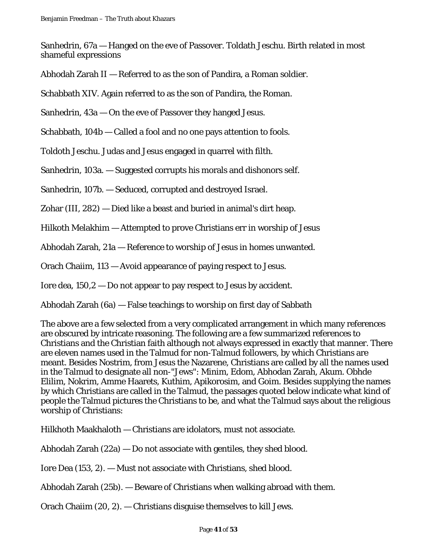Sanhedrin, 67a — Hanged on the eve of Passover. Toldath Jeschu. Birth related in most shameful expressions

Abhodah Zarah II — Referred to as the son of Pandira, a Roman soldier.

Schabbath XIV. Again referred to as the son of Pandira, the Roman.

Sanhedrin, 43a — On the eve of Passover they hanged Jesus.

Schabbath, 104b — Called a fool and no one pays attention to fools.

Toldoth Jeschu. Judas and Jesus engaged in quarrel with filth.

Sanhedrin, 103a. — Suggested corrupts his morals and dishonors self.

Sanhedrin, 107b. — Seduced, corrupted and destroyed Israel.

Zohar (III, 282) — Died like a beast and buried in animal's dirt heap.

Hilkoth Melakhim — Attempted to prove Christians err in worship of Jesus

Abhodah Zarah, 21a — Reference to worship of Jesus in homes unwanted.

Orach Chaiim, 113 — Avoid appearance of paying respect to Jesus.

Iore dea, 150,2 — Do not appear to pay respect to Jesus by accident.

Abhodah Zarah (6a) — False teachings to worship on first day of Sabbath

The above are a few selected from a very complicated arrangement in which many references are obscured by intricate reasoning. The following are a few summarized references to Christians and the Christian faith although not always expressed in exactly that manner. There are eleven names used in the Talmud for non-Talmud followers, by which Christians are meant. Besides Nostrim, from Jesus the Nazarene, Christians are called by all the names used in the Talmud to designate all non-"Jews": Minim, Edom, Abhodan Zarah, Akum. Obhde Elilim, Nokrim, Amme Haarets, Kuthim, Apikorosim, and Goim. Besides supplying the names by which Christians are called in the Talmud, the passages quoted below indicate what kind of people the Talmud pictures the Christians to be, and what the Talmud says about the religious worship of Christians:

Hilkhoth Maakhaloth — Christians are idolators, must not associate.

Abhodah Zarah (22a) — Do not associate with gentiles, they shed blood.

Iore Dea (153, 2). — Must not associate with Christians, shed blood.

Abhodah Zarah (25b). — Beware of Christians when walking abroad with them.

Orach Chaiim (20, 2). — Christians disguise themselves to kill Jews.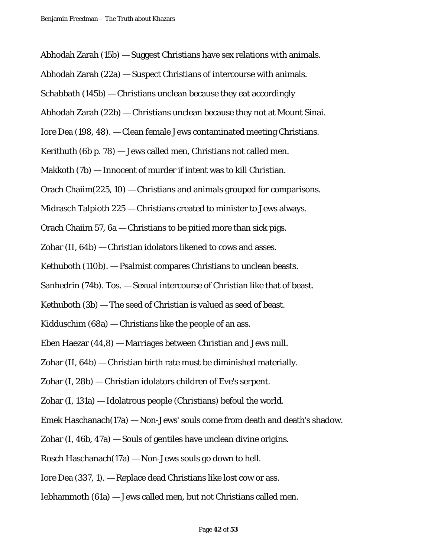- Abhodah Zarah (15b) Suggest Christians have sex relations with animals.
- Abhodah Zarah (22a) Suspect Christians of intercourse with animals.
- Schabbath (145b) Christians unclean because they eat accordingly
- Abhodah Zarah (22b) Christians unclean because they not at Mount Sinai.
- Iore Dea (198, 48). Clean female Jews contaminated meeting Christians.
- Kerithuth (6b p. 78) Jews called men, Christians not called men.
- Makkoth (7b) Innocent of murder if intent was to kill Christian.
- Orach Chaiim(225, 10) Christians and animals grouped for comparisons.
- Midrasch Talpioth 225 Christians created to minister to Jews always.
- Orach Chaiim 57, 6a Christians to be pitied more than sick pigs.
- Zohar (II, 64b) Christian idolators likened to cows and asses.
- Kethuboth (110b). Psalmist compares Christians to unclean beasts.
- Sanhedrin (74b). Tos. Sexual intercourse of Christian like that of beast.
- Kethuboth (3b) The seed of Christian is valued as seed of beast.
- Kidduschim (68a) Christians like the people of an ass.
- Eben Haezar (44,8) Marriages between Christian and Jews null.
- Zohar (II, 64b) Christian birth rate must be diminished materially.
- Zohar (I, 28b) Christian idolators children of Eve's serpent.
- Zohar (I, 131a) Idolatrous people (Christians) befoul the world.
- Emek Haschanach(17a) Non-Jews' souls come from death and death's shadow.
- Zohar (I, 46b, 47a) Souls of gentiles have unclean divine origins.
- Rosch Haschanach(17a) Non-Jews souls go down to hell.
- Iore Dea (337, 1). Replace dead Christians like lost cow or ass.
- Iebhammoth (61a) Jews called men, but not Christians called men.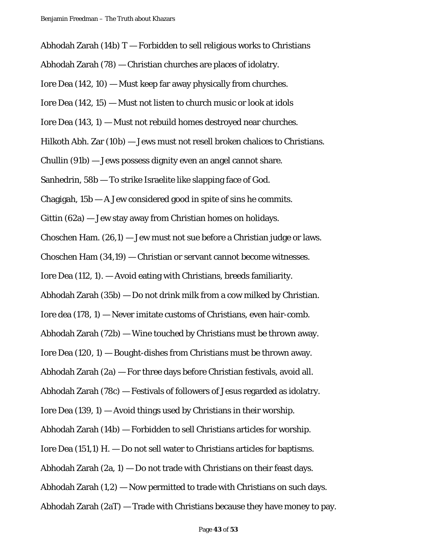- Abhodah Zarah  $(14b)$  T  $-$  Forbidden to sell religious works to Christians
- Abhodah Zarah (78) Christian churches are places of idolatry.
- Iore Dea (142, 10) Must keep far away physically from churches.
- Iore Dea (142, 15) Must not listen to church music or look at idols
- Iore Dea (143, 1) Must not rebuild homes destroyed near churches.
- Hilkoth Abh. Zar (10b) Jews must not resell broken chalices to Christians.
- Chullin (91b) Jews possess dignity even an angel cannot share.
- Sanhedrin, 58b To strike Israelite like slapping face of God.
- Chagigah, 15b A Jew considered good in spite of sins he commits.
- Gittin (62a) Jew stay away from Christian homes on holidays.
- Choschen Ham. (26,1) Jew must not sue before a Christian judge or laws.
- Choschen Ham (34,19) Christian or servant cannot become witnesses.
- Iore Dea (112, 1). Avoid eating with Christians, breeds familiarity.
- Abhodah Zarah (35b) Do not drink milk from a cow milked by Christian.
- Iore dea (178, 1) Never imitate customs of Christians, even hair-comb.
- Abhodah Zarah (72b) Wine touched by Christians must be thrown away.
- Iore Dea (120, 1) Bought-dishes from Christians must be thrown away.
- Abhodah Zarah (2a) For three days before Christian festivals, avoid all.
- Abhodah Zarah (78c) Festivals of followers of Jesus regarded as idolatry.
- Iore Dea (139, 1) Avoid things used by Christians in their worship.
- Abhodah Zarah (14b) Forbidden to sell Christians articles for worship.
- Iore Dea (151,1) H. Do not sell water to Christians articles for baptisms.
- Abhodah Zarah  $(2a, 1)$  Do not trade with Christians on their feast days.
- Abhodah Zarah  $(1,2)$  Now permitted to trade with Christians on such days.
- Abhodah Zarah (2aT) Trade with Christians because they have money to pay.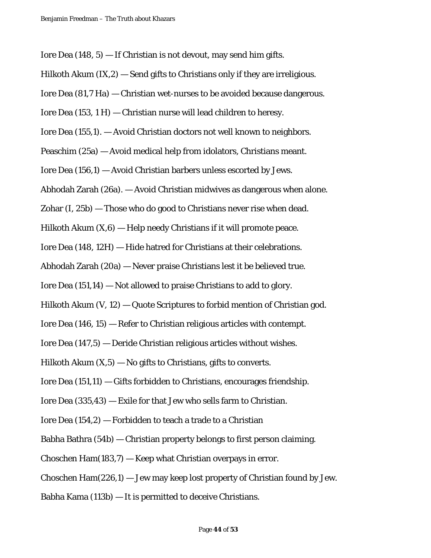- Iore Dea (148, 5) If Christian is not devout, may send him gifts.
- Hilkoth Akum  $(IX,2)$  Send gifts to Christians only if they are irreligious.
- Iore Dea (81,7 Ha) Christian wet-nurses to be avoided because dangerous.
- Iore Dea (153, 1 H) Christian nurse will lead children to heresy.
- Iore Dea (155,1). Avoid Christian doctors not well known to neighbors.
- Peaschim (25a) Avoid medical help from idolators, Christians meant.
- Iore Dea (156,1) Avoid Christian barbers unless escorted by Jews.
- Abhodah Zarah (26a). Avoid Christian midwives as dangerous when alone.
- Zohar (I, 25b) Those who do good to Christians never rise when dead.
- Hilkoth Akum  $(X,6)$  Help needy Christians if it will promote peace.
- Iore Dea (148, 12H) Hide hatred for Christians at their celebrations.
- Abhodah Zarah (20a) Never praise Christians lest it be believed true.
- Iore Dea (151,14) Not allowed to praise Christians to add to glory.
- Hilkoth Akum  $(V, 12)$  Quote Scriptures to forbid mention of Christian god.
- Iore Dea (146, 15) Refer to Christian religious articles with contempt.
- Iore Dea (147,5) Deride Christian religious articles without wishes.
- Hilkoth Akum  $(X,5)$  No gifts to Christians, gifts to converts.
- Iore Dea (151,11) Gifts forbidden to Christians, encourages friendship.
- Iore Dea (335,43) Exile for that Jew who sells farm to Christian.
- Iore Dea (154,2) Forbidden to teach a trade to a Christian
- Babha Bathra (54b) Christian property belongs to first person claiming.
- Choschen Ham(183,7) Keep what Christian overpays in error.
- Choschen Ham(226,1) Jew may keep lost property of Christian found by Jew.
- Babha Kama (113b) It is permitted to deceive Christians.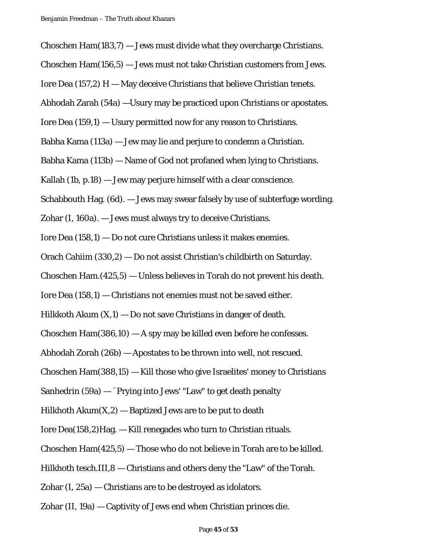Choschen Ham(183,7) — Jews must divide what they overcharge Christians. Choschen Ham(156,5) — Jews must not take Christian customers from Jews. Iore Dea (157,2) H — May deceive Christians that believe Christian tenets. Abhodah Zarah (54a) —Usury may be practiced upon Christians or apostates. Iore Dea (159,1) — Usury permitted now for any reason to Christians. Babha Kama (113a) — Jew may lie and perjure to condemn a Christian. Babha Kama (113b) — Name of God not profaned when lying to Christians. Kallah (1b, p.18) — Jew may perjure himself with a clear conscience. Schabbouth Hag. (6d). — Jews may swear falsely by use of subterfuge wording. Zohar (I, 160a). — Jews must always try to deceive Christians. Iore Dea (158,1) — Do not cure Christians unless it makes enemies. Orach Cahiim (330,2) — Do not assist Christian's childbirth on Saturday. Choschen Ham.(425,5) — Unless believes in Torah do not prevent his death. Iore Dea (158,1) — Christians not enemies must not be saved either. Hilkkoth Akum  $(X,1)$  — Do not save Christians in danger of death. Choschen  $Ham(386,10) - A$  spy may be killed even before he confesses. Abhodah Zorah (26b) — Apostates to be thrown into well, not rescued. Choschen Ham(388,15) — Kill those who give Israelites' money to Christians Sanhedrin  $(59a)$  — `Prying into Jews' "Law" to get death penalty Hilkhoth Akum $(X,2)$  — Baptized Jews are to be put to death Iore Dea(158,2)Hag. — Kill renegades who turn to Christian rituals. Choschen Ham(425,5) — Those who do not believe in Torah are to be killed. Hilkhoth tesch.III,8 — Christians and others deny the "Law" of the Torah. Zohar (I, 25a) — Christians are to be destroyed as idolators.

Zohar (II, 19a) — Captivity of Jews end when Christian princes die.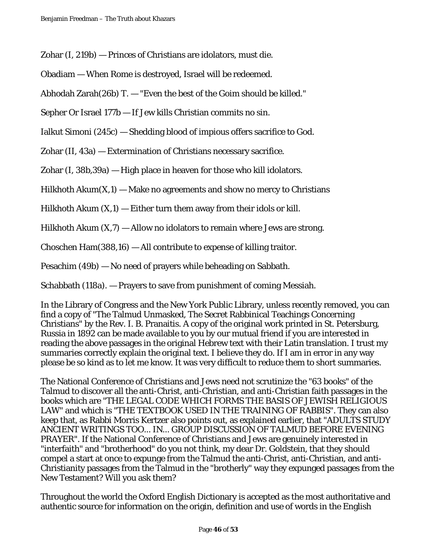Zohar (I, 219b) — Princes of Christians are idolators, must die.

Obadiam — When Rome is destroyed, Israel will be redeemed.

Abhodah Zarah(26b) T. — "Even the best of the Goim should be killed."

Sepher Or Israel 177b — If Jew kills Christian commits no sin.

Ialkut Simoni (245c) — Shedding blood of impious offers sacrifice to God.

Zohar (II, 43a) — Extermination of Christians necessary sacrifice.

Zohar (I, 38b,39a) — High place in heaven for those who kill idolators.

Hilkhoth  $Akum(X,1)$  — Make no agreements and show no mercy to Christians

Hilkhoth Akum  $(X,1)$  — Either turn them away from their idols or kill.

Hilkhoth Akum  $(X,7)$  — Allow no idolators to remain where Jews are strong.

Choschen Ham(388,16) — All contribute to expense of killing traitor.

Pesachim (49b) — No need of prayers while beheading on Sabbath.

Schabbath (118a). — Prayers to save from punishment of coming Messiah.

In the Library of Congress and the New York Public Library, unless recently removed, you can find a copy of "The Talmud Unmasked, The Secret Rabbinical Teachings Concerning Christians" by the Rev. I. B. Pranaitis. A copy of the original work printed in St. Petersburg, Russia in 1892 can be made available to you by our mutual friend if you are interested in reading the above passages in the original Hebrew text with their Latin translation. I trust my summaries correctly explain the original text. I believe they do. If I am in error in any way please be so kind as to let me know. It was very difficult to reduce them to short summaries.

The National Conference of Christians and Jews need not scrutinize the "63 books" of the Talmud to discover all the anti-Christ, anti-Christian, and anti-Christian faith passages in the books which are "THE LEGAL CODE WHICH FORMS THE BASIS OF JEWISH RELIGIOUS LAW" and which is "THE TEXTBOOK USED IN THE TRAINING OF RABBIS". They can also keep that, as Rabbi Morris Kertzer also points out, as explained earlier, that "ADULTS STUDY ANCIENT WRITINGS TOO... IN... GROUP DISCUSSION OF TALMUD BEFORE EVENING PRAYER". If the National Conference of Christians and Jews are genuinely interested in "interfaith" and "brotherhood" do you not think, my dear Dr. Goldstein, that they should compel a start at once to expunge from the Talmud the anti-Christ, anti-Christian, and anti-Christianity passages from the Talmud in the "brotherly" way they expunged passages from the New Testament? Will you ask them?

Throughout the world the Oxford English Dictionary is accepted as the most authoritative and authentic source for information on the origin, definition and use of words in the English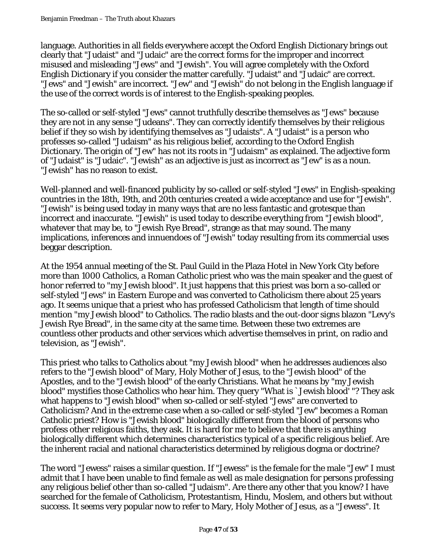language. Authorities in all fields everywhere accept the Oxford English Dictionary brings out clearly that "Judaist" and "Judaic" are the correct forms for the improper and incorrect misused and misleading "Jews" and "Jewish". You will agree completely with the Oxford English Dictionary if you consider the matter carefully. "Judaist" and "Judaic" are correct. "Jews" and "Jewish" are incorrect. "Jew" and "Jewish" do not belong in the English language if the use of the correct words is of interest to the English-speaking peoples.

The so-called or self-styled "Jews" cannot truthfully describe themselves as "Jews" because they are not in any sense "Judeans". They can correctly identify themselves by their religious belief if they so wish by identifying themselves as "Judaists". A "Judaist" is a person who professes so-called "Judaism" as his religious belief, according to the Oxford English Dictionary. The origin of "Jew" has not its roots in "Judaism" as explained. The adjective form of "Judaist" is "Judaic". "Jewish" as an adjective is just as incorrect as "Jew" is as a noun. "Jewish" has no reason to exist.

Well-planned and well-financed publicity by so-called or self-styled "Jews" in English-speaking countries in the 18th, 19th, and 20th centuries created a wide acceptance and use for "Jewish". "Jewish" is being used today in many ways that are no less fantastic and grotesque than incorrect and inaccurate. "Jewish" is used today to describe everything from "Jewish blood", whatever that may be, to "Jewish Rye Bread", strange as that may sound. The many implications, inferences and innuendoes of "Jewish" today resulting from its commercial uses beggar description.

At the 1954 annual meeting of the St. Paul Guild in the Plaza Hotel in New York City before more than 1000 Catholics, a Roman Catholic priest who was the main speaker and the guest of honor referred to "my Jewish blood". It just happens that this priest was born a so-called or self-styled "Jews" in Eastern Europe and was converted to Catholicism there about 25 years ago. It seems unique that a priest who has professed Catholicism that length of time should mention "my Jewish blood" to Catholics. The radio blasts and the out-door signs blazon "Levy's Jewish Rye Bread", in the same city at the same time. Between these two extremes are countless other products and other services which advertise themselves in print, on radio and television, as "Jewish".

This priest who talks to Catholics about "my Jewish blood" when he addresses audiences also refers to the "Jewish blood" of Mary, Holy Mother of Jesus, to the "Jewish blood" of the Apostles, and to the "Jewish blood" of the early Christians. What he means by "my Jewish blood" mystifies those Catholics who hear him. They query "What is `Jewish blood' "? They ask what happens to "Jewish blood" when so-called or self-styled "Jews" are converted to Catholicism? And in the extreme case when a so-called or self-styled "Jew" becomes a Roman Catholic priest? How is "Jewish blood" biologically different from the blood of persons who profess other religious faiths, they ask. It is hard for me to believe that there is anything biologically different which determines characteristics typical of a specific religious belief. Are the inherent racial and national characteristics determined by religious dogma or doctrine?

The word "Jewess" raises a similar question. If "Jewess" is the female for the male "Jew" I must admit that I have been unable to find female as well as male designation for persons professing any religious belief other than so-called "Judaism". Are there any other that you know? I have searched for the female of Catholicism, Protestantism, Hindu, Moslem, and others but without success. It seems very popular now to refer to Mary, Holy Mother of Jesus, as a "Jewess". It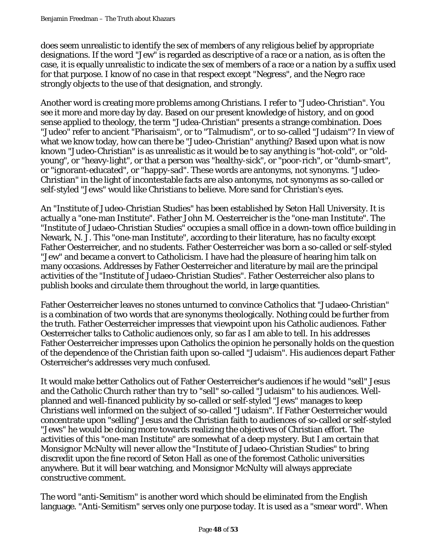does seem unrealistic to identify the sex of members of any religious belief by appropriate designations. If the word "Jew" is regarded as descriptive of a race or a nation, as is often the case, it is equally unrealistic to indicate the sex of members of a race or a nation by a suffix used for that purpose. I know of no case in that respect except "Negress", and the Negro race strongly objects to the use of that designation, and strongly.

Another word is creating more problems among Christians. I refer to "Judeo-Christian". You see it more and more day by day. Based on our present knowledge of history, and on good sense applied to theology, the term "Judea-Christian" presents a strange combination. Does "Judeo" refer to ancient "Pharisaism", or to "Talmudism", or to so-called "Judaism"? In view of what we know today, how can there be "Judeo-Christian" anything? Based upon what is now known "Judeo-Christian" is as unrealistic as it would be to say anything is "hot-cold", or "oldyoung", or "heavy-light", or that a person was "healthy-sick", or "poor-rich", or "dumb-smart", or "ignorant-educated", or "happy-sad". These words are antonyms, not synonyms. "Judeo-Christian" in the light of incontestable facts are also antonyms, not synonyms as so-called or self-styled "Jews" would like Christians to believe. More sand for Christian's eyes.

An "Institute of Judeo-Christian Studies" has been established by Seton Hall University. It is actually a "one-man Institute". Father John M. Oesterreicher is the "one-man Institute". The "Institute of Judaeo-Christian Studies" occupies a small office in a down-town office building in Newark, N. J. This "one-man Institute", according to their literature, has no faculty except Father Oesterreicher, and no students. Father Oesterreicher was born a so-called or self-styled "Jew" and became a convert to Catholicism. I have had the pleasure of hearing him talk on many occasions. Addresses by Father Oesterreicher and literature by mail are the principal activities of the "Institute of Judaeo-Christian Studies". Father Oesterreicher also plans to publish books and circulate them throughout the world, in large quantities.

Father Oesterreicher leaves no stones unturned to convince Catholics that "Judaeo-Christian" is a combination of two words that are synonyms theologically. Nothing could be further from the truth. Father Oesterreicher impresses that viewpoint upon his Catholic audiences. Father Oesterreicher talks to Catholic audiences only, so far as I am able to tell. In his addresses Father Oesterreicher impresses upon Catholics the opinion he personally holds on the question of the dependence of the Christian faith upon so-called "Judaism". His audiences depart Father Osterreicher's addresses very much confused.

It would make better Catholics out of Father Oesterreicher's audiences if he would "sell" Jesus and the Catholic Church rather than try to "sell" so-called "Judaism" to his audiences. Wellplanned and well-financed publicity by so-called or self-styled "Jews" manages to keep Christians well informed on the subject of so-called "Judaism". If Father Oesterreicher would concentrate upon "selling" Jesus and the Christian faith to audiences of so-called or self-styled "Jews" he would be doing more towards realizing the objectives of Christian effort. The activities of this "one-man Institute" are somewhat of a deep mystery. But I am certain that Monsignor McNulty will never allow the "Institute of Judaeo-Christian Studies" to bring discredit upon the fine record of Seton Hall as one of the foremost Catholic universities anywhere. But it will bear watching, and Monsignor McNulty will always appreciate constructive comment.

The word "anti-Semitism" is another word which should be eliminated from the English language. "Anti-Semitism" serves only one purpose today. It is used as a "smear word". When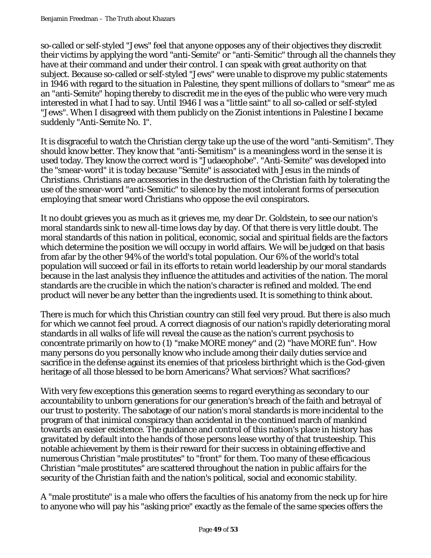so-called or self-styled "Jews" feel that anyone opposes any of their objectives they discredit their victims by applying the word "anti-Semite" or "anti-Semitic" through all the channels they have at their command and under their control. I can speak with great authority on that subject. Because so-called or self-styled "Jews" were unable to disprove my public statements in 1946 with regard to the situation in Palestine, they spent millions of dollars to "smear" me as an "anti-Semite" hoping thereby to discredit me in the eyes of the public who were very much interested in what I had to say. Until 1946 I was a "little saint" to all so-called or self-styled "Jews". When I disagreed with them publicly on the Zionist intentions in Palestine I became suddenly "Anti-Semite No. 1".

It is disgraceful to watch the Christian clergy take up the use of the word "anti-Semitism". They should know better. They know that "anti-Semitism" is a meaningless word in the sense it is used today. They know the correct word is "Judaeophobe". "Anti-Semite" was developed into the "smear-word" it is today because "Semite" is associated with Jesus in the minds of Christians. Christians are accessories in the destruction of the Christian faith by tolerating the use of the smear-word "anti-Semitic" to silence by the most intolerant forms of persecution employing that smear word Christians who oppose the evil conspirators.

It no doubt grieves you as much as it grieves me, my dear Dr. Goldstein, to see our nation's moral standards sink to new all-time lows day by day. Of that there is very little doubt. The moral standards of this nation in political, economic, social and spiritual fields are the factors which determine the position we will occupy in world affairs. We will be judged on that basis from afar by the other 94% of the world's total population. Our 6% of the world's total population will succeed or fail in its efforts to retain world leadership by our moral standards because in the last analysis they influence the attitudes and activities of the nation. The moral standards are the crucible in which the nation's character is refined and molded. The end product will never be any better than the ingredients used. It is something to think about.

There is much for which this Christian country can still feel very proud. But there is also much for which we cannot feel proud. A correct diagnosis of our nation's rapidly deteriorating moral standards in all walks of life will reveal the cause as the nation's current psychosis to concentrate primarily on how to (1) "make MORE money" and (2) "have MORE fun". How many persons do you personally know who include among their daily duties service and sacrifice in the defense against its enemies of that priceless birthright which is the God-given heritage of all those blessed to be born Americans? What services? What sacrifices?

With very few exceptions this generation seems to regard everything as secondary to our accountability to unborn generations for our generation's breach of the faith and betrayal of our trust to posterity. The sabotage of our nation's moral standards is more incidental to the program of that inimical conspiracy than accidental in the continued march of mankind towards an easier existence. The guidance and control of this nation's place in history has gravitated by default into the hands of those persons lease worthy of that trusteeship. This notable achievement by them is their reward for their success in obtaining effective and numerous Christian "male prostitutes" to "front" for them. Too many of these efficacious Christian "male prostitutes" are scattered throughout the nation in public affairs for the security of the Christian faith and the nation's political, social and economic stability.

A "male prostitute" is a male who offers the faculties of his anatomy from the neck up for hire to anyone who will pay his "asking price" exactly as the female of the same species offers the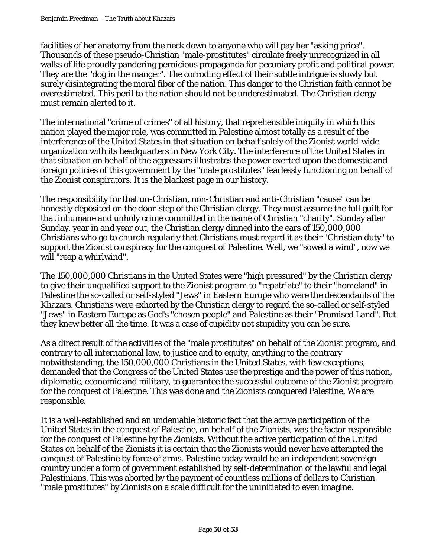facilities of her anatomy from the neck down to anyone who will pay her "asking price". Thousands of these pseudo-Christian "male-prostitutes" circulate freely unrecognized in all walks of life proudly pandering pernicious propaganda for pecuniary profit and political power. They are the "dog in the manger". The corroding effect of their subtle intrigue is slowly but surely disintegrating the moral fiber of the nation. This danger to the Christian faith cannot be overestimated. This peril to the nation should not be underestimated. The Christian clergy must remain alerted to it.

The international "crime of crimes" of all history, that reprehensible iniquity in which this nation played the major role, was committed in Palestine almost totally as a result of the interference of the United States in that situation on behalf solely of the Zionist world-wide organization with its headquarters in New York City. The interference of the United States in that situation on behalf of the aggressors illustrates the power exerted upon the domestic and foreign policies of this government by the "male prostitutes" fearlessly functioning on behalf of the Zionist conspirators. It is the blackest page in our history.

The responsibility for that un-Christian, non-Christian and anti-Christian "cause" can be honestly deposited on the door-step of the Christian clergy. They must assume the full guilt for that inhumane and unholy crime committed in the name of Christian "charity". Sunday after Sunday, year in and year out, the Christian clergy dinned into the ears of 150,000,000 Christians who go to church regularly that Christians must regard it as their "Christian duty" to support the Zionist conspiracy for the conquest of Palestine. Well, we "sowed a wind", now we will "reap a whirlwind".

The 150,000,000 Christians in the United States were "high pressured" by the Christian clergy to give their unqualified support to the Zionist program to "repatriate" to their "homeland" in Palestine the so-called or self-styled "Jews" in Eastern Europe who were the descendants of the Khazars. Christians were exhorted by the Christian clergy to regard the so-called or self-styled "Jews" in Eastern Europe as God's "chosen people" and Palestine as their "Promised Land". But they knew better all the time. It was a case of cupidity not stupidity you can be sure.

As a direct result of the activities of the "male prostitutes" on behalf of the Zionist program, and contrary to all international law, to justice and to equity, anything to the contrary notwithstanding, the 150,000,000 Christians in the United States, with few exceptions, demanded that the Congress of the United States use the prestige and the power of this nation, diplomatic, economic and military, to guarantee the successful outcome of the Zionist program for the conquest of Palestine. This was done and the Zionists conquered Palestine. We are responsible.

It is a well-established and an undeniable historic fact that the active participation of the United States in the conquest of Palestine, on behalf of the Zionists, was the factor responsible for the conquest of Palestine by the Zionists. Without the active participation of the United States on behalf of the Zionists it is certain that the Zionists would never have attempted the conquest of Palestine by force of arms. Palestine today would be an independent sovereign country under a form of government established by self-determination of the lawful and legal Palestinians. This was aborted by the payment of countless millions of dollars to Christian "male prostitutes" by Zionists on a scale difficult for the uninitiated to even imagine.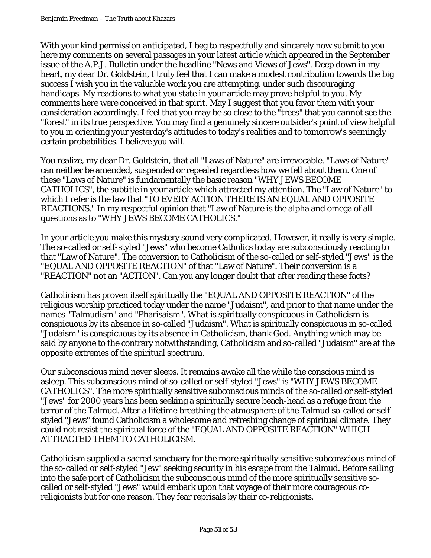With your kind permission anticipated, I beg to respectfully and sincerely now submit to you here my comments on several passages in your latest article which appeared in the September issue of the A.P.J. Bulletin under the headline "News and Views of Jews". Deep down in my heart, my dear Dr. Goldstein, I truly feel that I can make a modest contribution towards the big success I wish you in the valuable work you are attempting, under such discouraging handicaps. My reactions to what you state in your article may prove helpful to you. My comments here were conceived in that spirit. May I suggest that you favor them with your consideration accordingly. I feel that you may be so close to the "trees" that you cannot see the "forest" in its true perspective. You may find a genuinely sincere outsider's point of view helpful to you in orienting your yesterday's attitudes to today's realities and to tomorrow's seemingly certain probabilities. I believe you will.

You realize, my dear Dr. Goldstein, that all "Laws of Nature" are irrevocable. "Laws of Nature" can neither be amended, suspended or repealed regardless how we fell about them. One of these "Laws of Nature" is fundamentally the basic reason "WHY JEWS BECOME CATHOLICS", the subtitle in your article which attracted my attention. The "Law of Nature" to which I refer is the law that "TO EVERY ACTION THERE IS AN EQUAL AND OPPOSITE REACTIONS." In my respectful opinion that "Law of Nature is the alpha and omega of all questions as to "WHY JEWS BECOME CATHOLICS."

In your article you make this mystery sound very complicated. However, it really is very simple. The so-called or self-styled "Jews" who become Catholics today are subconsciously reacting to that "Law of Nature". The conversion to Catholicism of the so-called or self-styled "Jews" is the "EQUAL AND OPPOSITE REACTION" of that "Law of Nature". Their conversion is a "REACTION" not an "ACTION". Can you any longer doubt that after reading these facts?

Catholicism has proven itself spiritually the "EQUAL AND OPPOSITE REACTION" of the religious worship practiced today under the name "Judaism", and prior to that name under the names "Talmudism" and "Pharisaism". What is spiritually conspicuous in Catholicism is conspicuous by its absence in so-called "Judaism". What is spiritually conspicuous in so-called "Judaism" is conspicuous by its absence in Catholicism, thank God. Anything which may be said by anyone to the contrary notwithstanding, Catholicism and so-called "Judaism" are at the opposite extremes of the spiritual spectrum.

Our subconscious mind never sleeps. It remains awake all the while the conscious mind is asleep. This subconscious mind of so-called or self-styled "Jews" is "WHY JEWS BECOME CATHOLICS". The more spiritually sensitive subconscious minds of the so-called or self-styled "Jews" for 2000 years has been seeking a spiritually secure beach-head as a refuge from the terror of the Talmud. After a lifetime breathing the atmosphere of the Talmud so-called or selfstyled "Jews" found Catholicism a wholesome and refreshing change of spiritual climate. They could not resist the spiritual force of the "EQUAL AND OPPOSITE REACTION" WHICH ATTRACTED THEM TO CATHOLICISM.

Catholicism supplied a sacred sanctuary for the more spiritually sensitive subconscious mind of the so-called or self-styled "Jew" seeking security in his escape from the Talmud. Before sailing into the safe port of Catholicism the subconscious mind of the more spiritually sensitive socalled or self-styled "Jews" would embark upon that voyage of their more courageous coreligionists but for one reason. They fear reprisals by their co-religionists.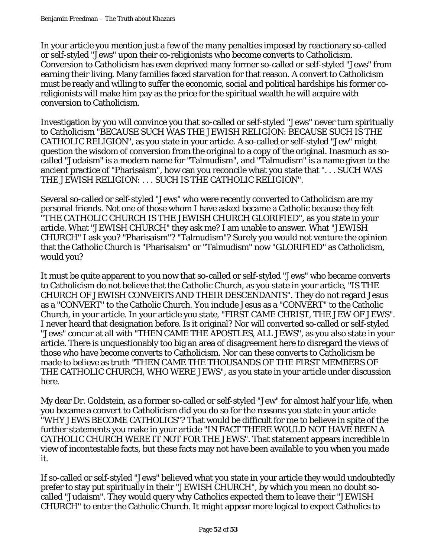In your article you mention just a few of the many penalties imposed by reactionary so-called or self-styled "Jews" upon their co-religionists who become converts to Catholicism. Conversion to Catholicism has even deprived many former so-called or self-styled "Jews" from earning their living. Many families faced starvation for that reason. A convert to Catholicism must be ready and willing to suffer the economic, social and political hardships his former coreligionists will make him pay as the price for the spiritual wealth he will acquire with conversion to Catholicism.

Investigation by you will convince you that so-called or self-styled "Jews" never turn spiritually to Catholicism "BECAUSE SUCH WAS THE JEWISH RELIGION: BECAUSE SUCH IS THE CATHOLIC RELIGION", as you state in your article. A so-called or self-styled "Jew" might question the wisdom of conversion from the original to a copy of the original. Inasmuch as socalled "Judaism" is a modern name for "Talmudism", and "Talmudism" is a name given to the ancient practice of "Pharisaism", how can you reconcile what you state that ". . . SUCH WAS THE JEWISH RELIGION: . . . SUCH IS THE CATHOLIC RELIGION".

Several so-called or self-styled "Jews" who were recently converted to Catholicism are my personal friends. Not one of those whom I have asked became a Catholic because they felt "THE CATHOLIC CHURCH IS THE JEWISH CHURCH GLORIFIED", as you state in your article. What "JEWISH CHURCH" they ask me? I am unable to answer. What "JEWISH CHURCH" I ask you? "Pharisaism"? "Talmudism"? Surely you would not venture the opinion that the Catholic Church is "Pharisaism" or "Talmudism" now "GLORIFIED" as Catholicism, would you?

It must be quite apparent to you now that so-called or self-styled "Jews" who became converts to Catholicism do not believe that the Catholic Church, as you state in your article, "IS THE CHURCH OF JEWISH CONVERTS AND THEIR DESCENDANTS". They do not regard Jesus as a "CONVERT" to the Catholic Church. You include Jesus as a "CONVERT" to the Catholic Church, in your article. In your article you state, "FIRST CAME CHRIST, THE JEW OF JEWS". I never heard that designation before. Is it original? Nor will converted so-called or self-styled "Jews" concur at all with "THEN CAME THE APOSTLES, ALL JEWS", as you also state in your article. There is unquestionably too big an area of disagreement here to disregard the views of those who have become converts to Catholicism. Nor can these converts to Catholicism be made to believe as truth "THEN CAME THE THOUSANDS OF THE FIRST MEMBERS OF THE CATHOLIC CHURCH, WHO WERE JEWS", as you state in your article under discussion here.

My dear Dr. Goldstein, as a former so-called or self-styled "Jew" for almost half your life, when you became a convert to Catholicism did you do so for the reasons you state in your article "WHY JEWS BECOME CATHOLICS"? That would be difficult for me to believe in spite of the further statements you make in your article "IN FACT THERE WOULD NOT HAVE BEEN A CATHOLIC CHURCH WERE IT NOT FOR THE JEWS". That statement appears incredible in view of incontestable facts, but these facts may not have been available to you when you made it.

If so-called or self-styled "Jews" believed what you state in your article they would undoubtedly prefer to stay put spiritually in their "JEWISH CHURCH", by which you mean no doubt socalled "Judaism". They would query why Catholics expected them to leave their "JEWISH CHURCH" to enter the Catholic Church. It might appear more logical to expect Catholics to